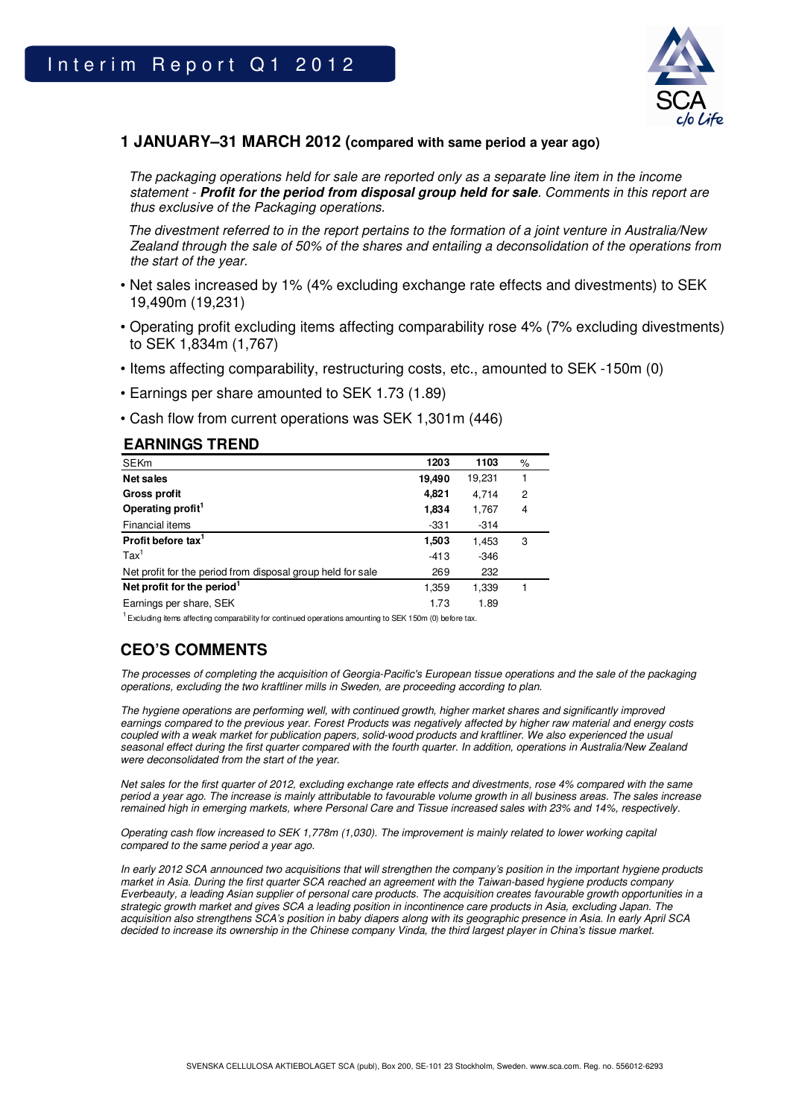

# **1 JANUARY–31 MARCH 2012 (compared with same period a year ago)**

 The packaging operations held for sale are reported only as a separate line item in the income statement - **Profit for the period from disposal group held for sale**. Comments in this report are thus exclusive of the Packaging operations.

 The divestment referred to in the report pertains to the formation of a joint venture in Australia/New Zealand through the sale of 50% of the shares and entailing a deconsolidation of the operations from the start of the year.

- Net sales increased by 1% (4% excluding exchange rate effects and divestments) to SEK 19,490m (19,231)
- Operating profit excluding items affecting comparability rose 4% (7% excluding divestments) to SEK 1,834m (1,767)
- Items affecting comparability, restructuring costs, etc., amounted to SEK -150m (0)
- Earnings per share amounted to SEK 1.73 (1.89)
- Cash flow from current operations was SEK 1,301m (446)

# **EARNINGS TREND**

| <b>SEKm</b>                                                 | 1203   | 1103   | % |
|-------------------------------------------------------------|--------|--------|---|
| Net sales                                                   | 19,490 | 19,231 |   |
| Gross profit                                                | 4,821  | 4.714  | 2 |
| Operating profit <sup>1</sup>                               | 1,834  | 1,767  | 4 |
| Financial items                                             | $-331$ | $-314$ |   |
| Profit before tax <sup>1</sup>                              | 1,503  | 1,453  | 3 |
| $\text{Tax}^1$                                              | $-413$ | $-346$ |   |
| Net profit for the period from disposal group held for sale | 269    | 232    |   |
| Net profit for the period <sup>1</sup>                      | 1,359  | 1,339  |   |
| Earnings per share, SEK                                     | 1.73   | 1.89   |   |

 $1$  Excluding items affecting comparability for continued operations amounting to SEK 150m (0) before tax.

# **CEO'S COMMENTS**

The processes of completing the acquisition of Georgia-Pacific's European tissue operations and the sale of the packaging operations, excluding the two kraftliner mills in Sweden, are proceeding according to plan.

The hygiene operations are performing well, with continued growth, higher market shares and significantly improved earnings compared to the previous year. Forest Products was negatively affected by higher raw material and energy costs coupled with a weak market for publication papers, solid-wood products and kraftliner. We also experienced the usual seasonal effect during the first quarter compared with the fourth quarter. In addition, operations in Australia/New Zealand were deconsolidated from the start of the year.

Net sales for the first quarter of 2012, excluding exchange rate effects and divestments, rose 4% compared with the same period a year ago. The increase is mainly attributable to favourable volume growth in all business areas. The sales increase remained high in emerging markets, where Personal Care and Tissue increased sales with 23% and 14%, respectively.

Operating cash flow increased to SEK 1,778m (1,030). The improvement is mainly related to lower working capital compared to the same period a year ago.

In early 2012 SCA announced two acquisitions that will strengthen the company's position in the important hygiene products market in Asia. During the first quarter SCA reached an agreement with the Taiwan-based hygiene products company Everbeauty, a leading Asian supplier of personal care products. The acquisition creates favourable growth opportunities in a strategic growth market and gives SCA a leading position in incontinence care products in Asia, excluding Japan. The acquisition also strengthens SCA's position in baby diapers along with its geographic presence in Asia. In early April SCA decided to increase its ownership in the Chinese company Vinda, the third largest player in China's tissue market.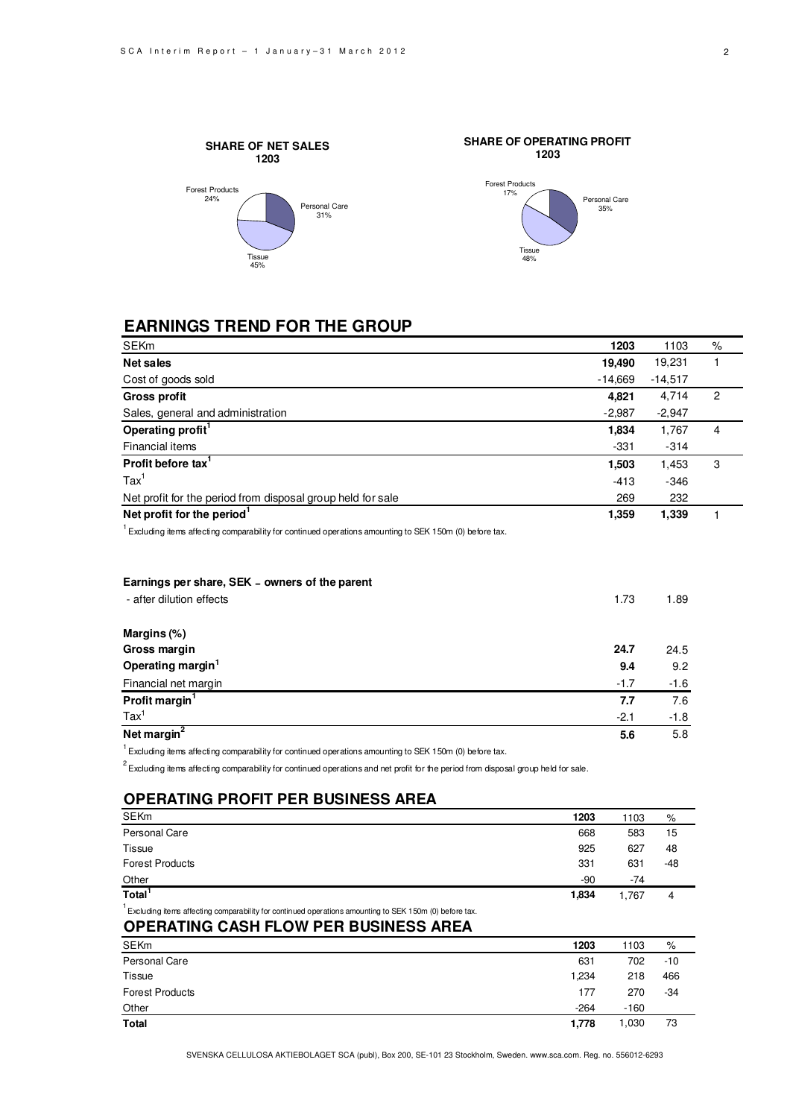



# **EARNINGS TREND FOR THE GROUP**

| SEKm                                                                                                       | 1203      | 1103      | $\%$             |
|------------------------------------------------------------------------------------------------------------|-----------|-----------|------------------|
| <b>Net sales</b>                                                                                           | 19.490    | 19,231    | 1                |
| Cost of goods sold                                                                                         | $-14.669$ | $-14,517$ |                  |
| <b>Gross profit</b>                                                                                        | 4,821     | 4,714     | 2                |
| Sales, general and administration                                                                          | $-2,987$  | $-2,947$  |                  |
| Operating profit <sup>1</sup>                                                                              | 1,834     | 1,767     | $\overline{4}$   |
| <b>Financial items</b>                                                                                     | $-331$    | $-314$    |                  |
| Profit before tax <sup>1</sup>                                                                             | 1,503     | 1,453     | $\boldsymbol{3}$ |
| $\text{Tax}^1$                                                                                             | $-413$    | $-346$    |                  |
| Net profit for the period from disposal group held for sale                                                | 269       | 232       |                  |
| Net profit for the period <sup>1</sup>                                                                     | 1,359     | 1,339     |                  |
| $1$ Excluding items affecting comparability for continued operations amounting to SEK 150m (0) before tax. |           |           |                  |
|                                                                                                            |           |           |                  |
| Earnings per share, SEK - owners of the parent                                                             |           |           |                  |
| - after dilution effects                                                                                   | 1.73      | 1.89      |                  |
| Margins (%)                                                                                                |           |           |                  |
| Gross margin                                                                                               | 24.7      | 24.5      |                  |
| Operating margin <sup>1</sup>                                                                              | 9.4       | 9.2       |                  |
| Financial net margin                                                                                       | $-1.7$    | $-1.6$    |                  |
| Profit margin <sup>1</sup>                                                                                 | 7.7       | 7.6       |                  |
| $\text{Tax}^1$                                                                                             | $-2.1$    | $-1.8$    |                  |
| Net margin <sup>2</sup>                                                                                    | 5.6       | 5.8       |                  |
|                                                                                                            |           |           |                  |

 $1$  Excluding items affecting comparability for continued operations amounting to SEK 150m (0) before tax.

 $2\overline{2}$  Excluding items affecting comparability for continued operations and net profit for the period from disposal group held for sale.

# **OPERATING PROFIT PER BUSINESS AREA**

| <b>SEKm</b>                                                                                            | 1203  | 1103  | %     |
|--------------------------------------------------------------------------------------------------------|-------|-------|-------|
| Personal Care                                                                                          | 668   | 583   | 15    |
| Tissue                                                                                                 | 925   | 627   | 48    |
| <b>Forest Products</b>                                                                                 | 331   | 631   | $-48$ |
|                                                                                                        | $-90$ | $-74$ |       |
| Other<br>Total <sup>1</sup>                                                                            | 1.834 | 1.767 | 4     |
| Excluding items affecting comparability for continued operations amounting to SEK 150m (0) before tax. |       |       |       |
| <b>OPERATING CASH FLOW PER BUSINESS AREA</b>                                                           |       |       |       |

| SEKm                   | 1203   | 1103   | %     |
|------------------------|--------|--------|-------|
| Personal Care          | 631    | 702    | $-10$ |
| <b>Tissue</b>          | 1,234  | 218    | 466   |
| <b>Forest Products</b> | 177    | 270    | -34   |
| Other                  | $-264$ | $-160$ |       |
| <b>Total</b>           | 1,778  | 1,030  | 73    |

SVENSKA CELLULOSA AKTIEBOLAGET SCA (publ), Box 200, SE-101 23 Stockholm, Sweden. www.sca.com. Reg. no. 556012-6293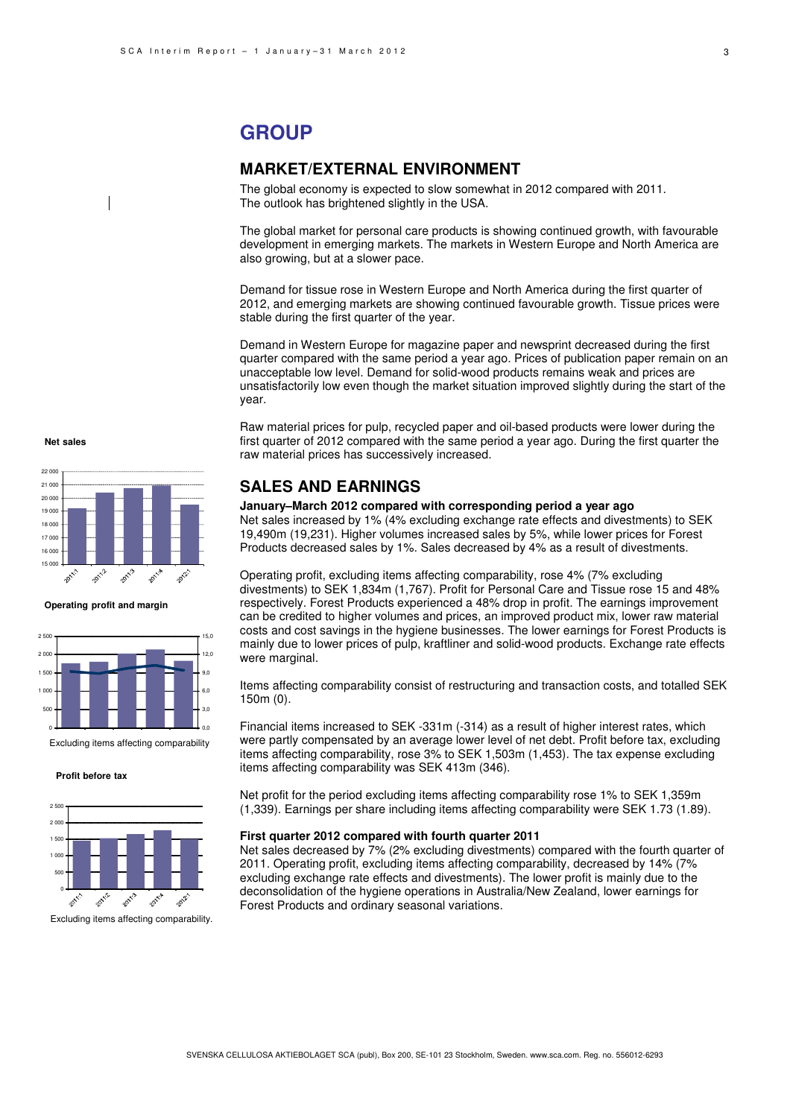# **GROUP**

### **MARKET/EXTERNAL ENVIRONMENT**

The global economy is expected to slow somewhat in 2012 compared with 2011. The outlook has brightened slightly in the USA.

The global market for personal care products is showing continued growth, with favourable development in emerging markets. The markets in Western Europe and North America are also growing, but at a slower pace.

Demand for tissue rose in Western Europe and North America during the first quarter of 2012, and emerging markets are showing continued favourable growth. Tissue prices were stable during the first quarter of the year.

Demand in Western Europe for magazine paper and newsprint decreased during the first quarter compared with the same period a year ago. Prices of publication paper remain on an unacceptable low level. Demand for solid-wood products remains weak and prices are unsatisfactorily low even though the market situation improved slightly during the start of the year.

Raw material prices for pulp, recycled paper and oil-based products were lower during the first quarter of 2012 compared with the same period a year ago. During the first quarter the raw material prices has successively increased.

# **SALES AND EARNINGS**

#### **January–March 2012 compared with corresponding period a year ago**

Net sales increased by 1% (4% excluding exchange rate effects and divestments) to SEK 19,490m (19,231). Higher volumes increased sales by 5%, while lower prices for Forest Products decreased sales by 1%. Sales decreased by 4% as a result of divestments.

Operating profit, excluding items affecting comparability, rose 4% (7% excluding divestments) to SEK 1,834m (1,767). Profit for Personal Care and Tissue rose 15 and 48% respectively. Forest Products experienced a 48% drop in profit. The earnings improvement can be credited to higher volumes and prices, an improved product mix, lower raw material costs and cost savings in the hygiene businesses. The lower earnings for Forest Products is mainly due to lower prices of pulp, kraftliner and solid-wood products. Exchange rate effects were marginal.

Items affecting comparability consist of restructuring and transaction costs, and totalled SEK 150m (0).

Financial items increased to SEK -331m (-314) as a result of higher interest rates, which were partly compensated by an average lower level of net debt. Profit before tax, excluding items affecting comparability, rose 3% to SEK 1,503m (1,453). The tax expense excluding items affecting comparability was SEK 413m (346).

Net profit for the period excluding items affecting comparability rose 1% to SEK 1,359m (1,339). Earnings per share including items affecting comparability were SEK 1.73 (1.89).

#### **First quarter 2012 compared with fourth quarter 2011**

Net sales decreased by 7% (2% excluding divestments) compared with the fourth quarter of 2011. Operating profit, excluding items affecting comparability, decreased by 14% (7% excluding exchange rate effects and divestments). The lower profit is mainly due to the deconsolidation of the hygiene operations in Australia/New Zealand, lower earnings for Forest Products and ordinary seasonal variations.

#### **Net sales**



**Operating profit and margin**



Excluding items affecting comparability

#### **Profit before tax**



Excluding items affecting comparability.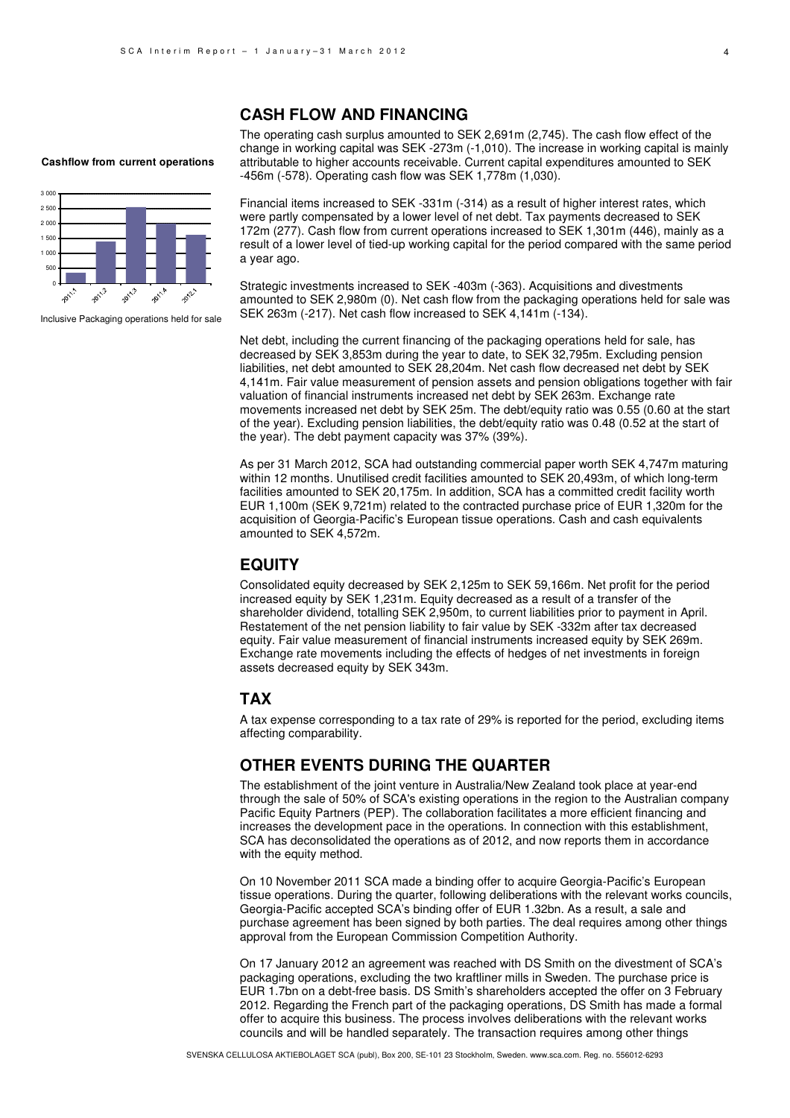### **CASH FLOW AND FINANCING**

**Cashflow from current operations**



Inclusive Packaging operations held for sale

The operating cash surplus amounted to SEK 2,691m (2,745). The cash flow effect of the change in working capital was SEK -273m (-1,010). The increase in working capital is mainly attributable to higher accounts receivable. Current capital expenditures amounted to SEK -456m (-578). Operating cash flow was SEK 1,778m (1,030).

Financial items increased to SEK -331m (-314) as a result of higher interest rates, which were partly compensated by a lower level of net debt. Tax payments decreased to SEK 172m (277). Cash flow from current operations increased to SEK 1,301m (446), mainly as a result of a lower level of tied-up working capital for the period compared with the same period a year ago.

Strategic investments increased to SEK -403m (-363). Acquisitions and divestments amounted to SEK 2,980m (0). Net cash flow from the packaging operations held for sale was SEK 263m (-217). Net cash flow increased to SEK 4,141m (-134).

Net debt, including the current financing of the packaging operations held for sale, has decreased by SEK 3,853m during the year to date, to SEK 32,795m. Excluding pension liabilities, net debt amounted to SEK 28,204m. Net cash flow decreased net debt by SEK 4,141m. Fair value measurement of pension assets and pension obligations together with fair valuation of financial instruments increased net debt by SEK 263m. Exchange rate movements increased net debt by SEK 25m. The debt/equity ratio was 0.55 (0.60 at the start of the year). Excluding pension liabilities, the debt/equity ratio was 0.48 (0.52 at the start of the year). The debt payment capacity was 37% (39%).

As per 31 March 2012, SCA had outstanding commercial paper worth SEK 4,747m maturing within 12 months. Unutilised credit facilities amounted to SEK 20,493m, of which long-term facilities amounted to SEK 20,175m. In addition, SCA has a committed credit facility worth EUR 1,100m (SEK 9,721m) related to the contracted purchase price of EUR 1,320m for the acquisition of Georgia-Pacific's European tissue operations. Cash and cash equivalents amounted to SEK 4,572m.

### **EQUITY**

Consolidated equity decreased by SEK 2,125m to SEK 59,166m. Net profit for the period increased equity by SEK 1,231m. Equity decreased as a result of a transfer of the shareholder dividend, totalling SEK 2,950m, to current liabilities prior to payment in April. Restatement of the net pension liability to fair value by SEK -332m after tax decreased equity. Fair value measurement of financial instruments increased equity by SEK 269m. Exchange rate movements including the effects of hedges of net investments in foreign assets decreased equity by SEK 343m.

# **TAX**

A tax expense corresponding to a tax rate of 29% is reported for the period, excluding items affecting comparability.

### **OTHER EVENTS DURING THE QUARTER**

The establishment of the joint venture in Australia/New Zealand took place at year-end through the sale of 50% of SCA's existing operations in the region to the Australian company Pacific Equity Partners (PEP). The collaboration facilitates a more efficient financing and increases the development pace in the operations. In connection with this establishment, SCA has deconsolidated the operations as of 2012, and now reports them in accordance with the equity method.

On 10 November 2011 SCA made a binding offer to acquire Georgia-Pacific's European tissue operations. During the quarter, following deliberations with the relevant works councils, Georgia-Pacific accepted SCA's binding offer of EUR 1.32bn. As a result, a sale and purchase agreement has been signed by both parties. The deal requires among other things approval from the European Commission Competition Authority.

On 17 January 2012 an agreement was reached with DS Smith on the divestment of SCA's packaging operations, excluding the two kraftliner mills in Sweden. The purchase price is EUR 1.7bn on a debt-free basis. DS Smith's shareholders accepted the offer on 3 February 2012. Regarding the French part of the packaging operations, DS Smith has made a formal offer to acquire this business. The process involves deliberations with the relevant works councils and will be handled separately. The transaction requires among other things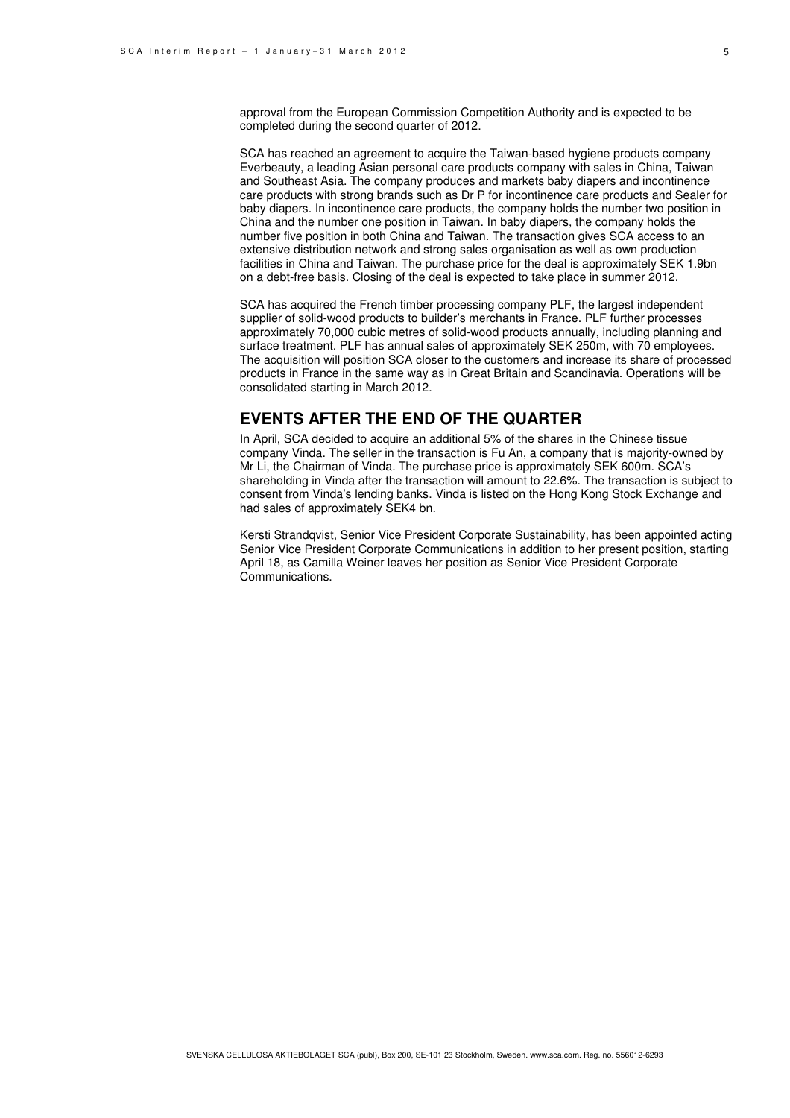SCA has reached an agreement to acquire the Taiwan-based hygiene products company Everbeauty, a leading Asian personal care products company with sales in China, Taiwan and Southeast Asia. The company produces and markets baby diapers and incontinence care products with strong brands such as Dr P for incontinence care products and Sealer for baby diapers. In incontinence care products, the company holds the number two position in China and the number one position in Taiwan. In baby diapers, the company holds the number five position in both China and Taiwan. The transaction gives SCA access to an extensive distribution network and strong sales organisation as well as own production facilities in China and Taiwan. The purchase price for the deal is approximately SEK 1.9bn on a debt-free basis. Closing of the deal is expected to take place in summer 2012.

SCA has acquired the French timber processing company PLF, the largest independent supplier of solid-wood products to builder's merchants in France. PLF further processes approximately 70,000 cubic metres of solid-wood products annually, including planning and surface treatment. PLF has annual sales of approximately SEK 250m, with 70 employees. The acquisition will position SCA closer to the customers and increase its share of processed products in France in the same way as in Great Britain and Scandinavia. Operations will be consolidated starting in March 2012.

# **EVENTS AFTER THE END OF THE QUARTER**

In April, SCA decided to acquire an additional 5% of the shares in the Chinese tissue company Vinda. The seller in the transaction is Fu An, a company that is majority-owned by Mr Li, the Chairman of Vinda. The purchase price is approximately SEK 600m. SCA's shareholding in Vinda after the transaction will amount to 22.6%. The transaction is subject to consent from Vinda's lending banks. Vinda is listed on the Hong Kong Stock Exchange and had sales of approximately SEK4 bn.

Kersti Strandqvist, Senior Vice President Corporate Sustainability, has been appointed acting Senior Vice President Corporate Communications in addition to her present position, starting April 18, as Camilla Weiner leaves her position as Senior Vice President Corporate Communications.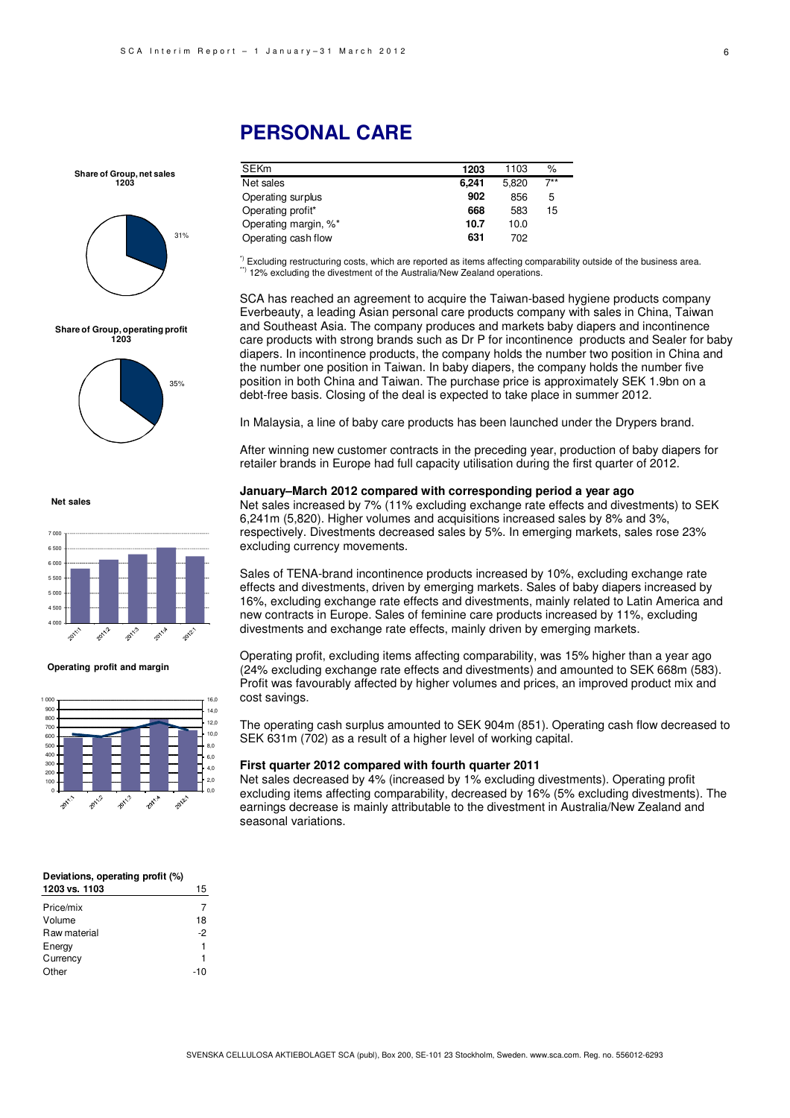#### 6

# **PERSONAL CARE**

**Share of Group, net sales 1203**



#### **Share of Group, operating profit 1203**



**Net sales**



#### **Operating profit and margin**



#### **Deviations, operating profit (%) 1203 vs. 1103** 15

| נטוו פע נטגו | 10  |
|--------------|-----|
| Price/mix    |     |
| Volume       | 18  |
| Raw material | -2  |
| Energy       |     |
| Currency     | 1   |
| Other        | -10 |
|              |     |

#### SEKm **1203** 1103 % Net sales **6,241** 5,820 7\*\* Operating surplus **902** 856 5 Operating profit\* **668** 583 15 Operating margin, %\* **10.7** 10.0 Operating cash flow **631** 702

\*) Excluding restructuring costs, which are reported as items affecting comparability outside of the business area. \*\*) 12% excluding the divestment of the Australia/New Zealand operations.

SCA has reached an agreement to acquire the Taiwan-based hygiene products company Everbeauty, a leading Asian personal care products company with sales in China, Taiwan and Southeast Asia. The company produces and markets baby diapers and incontinence care products with strong brands such as Dr P for incontinence products and Sealer for baby diapers. In incontinence products, the company holds the number two position in China and the number one position in Taiwan. In baby diapers, the company holds the number five position in both China and Taiwan. The purchase price is approximately SEK 1.9bn on a debt-free basis. Closing of the deal is expected to take place in summer 2012.

In Malaysia, a line of baby care products has been launched under the Drypers brand.

After winning new customer contracts in the preceding year, production of baby diapers for retailer brands in Europe had full capacity utilisation during the first quarter of 2012.

#### **January–March 2012 compared with corresponding period a year ago**

Net sales increased by 7% (11% excluding exchange rate effects and divestments) to SEK 6,241m (5,820). Higher volumes and acquisitions increased sales by 8% and 3%, respectively. Divestments decreased sales by 5%. In emerging markets, sales rose 23% excluding currency movements.

Sales of TENA-brand incontinence products increased by 10%, excluding exchange rate effects and divestments, driven by emerging markets. Sales of baby diapers increased by 16%, excluding exchange rate effects and divestments, mainly related to Latin America and new contracts in Europe. Sales of feminine care products increased by 11%, excluding divestments and exchange rate effects, mainly driven by emerging markets.

Operating profit, excluding items affecting comparability, was 15% higher than a year ago (24% excluding exchange rate effects and divestments) and amounted to SEK 668m (583). Profit was favourably affected by higher volumes and prices, an improved product mix and cost savings.

The operating cash surplus amounted to SEK 904m (851). Operating cash flow decreased to SEK 631m (702) as a result of a higher level of working capital.

#### **First quarter 2012 compared with fourth quarter 2011**

Net sales decreased by 4% (increased by 1% excluding divestments). Operating profit excluding items affecting comparability, decreased by 16% (5% excluding divestments). The earnings decrease is mainly attributable to the divestment in Australia/New Zealand and seasonal variations.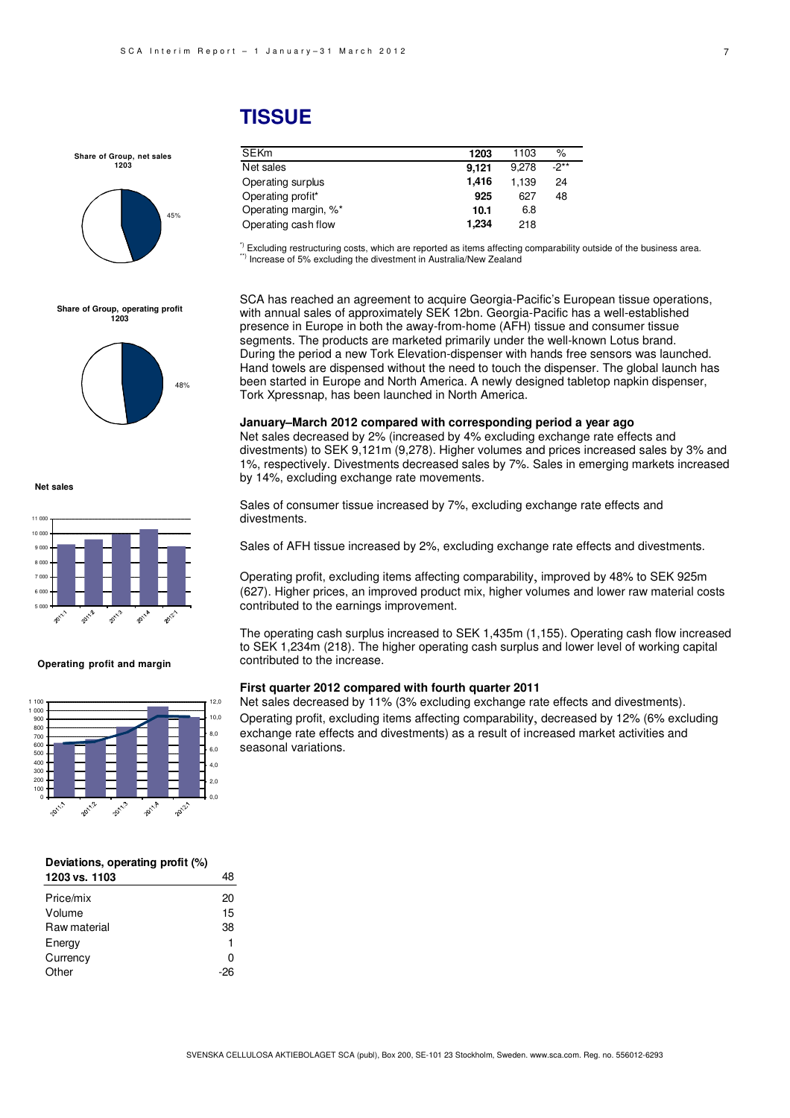#### 7

# **TISSUE**

#### **Share of Group, net sales 1203**



#### **Share of Group, operating profit 1203**



**Net sales**



#### **Operating profit and margin**



#### **Deviations, operating profit (%) 1203 vs. 1103** 48

| Price/mix    | 20  |
|--------------|-----|
| Volume       | 15  |
| Raw material | 38  |
| Energy       | 1   |
| Currency     | 0   |
| Other        | -26 |
|              |     |

| <b>SEKm</b>          | 1203  | 1103  | $\%$   |
|----------------------|-------|-------|--------|
| Net sales            | 9.121 | 9.278 | $-2**$ |
| Operating surplus    | 1.416 | 1.139 | 24     |
| Operating profit*    | 925   | 627   | 48     |
| Operating margin, %* | 10.1  | 6.8   |        |
| Operating cash flow  | 1.234 | 218   |        |

 $\frac{1}{2}$  Excluding restructuring costs, which are reported as items affecting comparability outside of the business area. \*\*\*) Increase of 5% excluding the divestment in Australia/New Zealand

SCA has reached an agreement to acquire Georgia-Pacific's European tissue operations, with annual sales of approximately SEK 12bn. Georgia-Pacific has a well-established presence in Europe in both the away-from-home (AFH) tissue and consumer tissue segments. The products are marketed primarily under the well-known Lotus brand. During the period a new Tork Elevation-dispenser with hands free sensors was launched. Hand towels are dispensed without the need to touch the dispenser. The global launch has been started in Europe and North America. A newly designed tabletop napkin dispenser, Tork Xpressnap, has been launched in North America.

#### **January–March 2012 compared with corresponding period a year ago**

Net sales decreased by 2% (increased by 4% excluding exchange rate effects and divestments) to SEK 9,121m (9,278). Higher volumes and prices increased sales by 3% and 1%, respectively. Divestments decreased sales by 7%. Sales in emerging markets increased by 14%, excluding exchange rate movements.

Sales of consumer tissue increased by 7%, excluding exchange rate effects and divestments.

Sales of AFH tissue increased by 2%, excluding exchange rate effects and divestments.

Operating profit, excluding items affecting comparability, improved by 48% to SEK 925m (627). Higher prices, an improved product mix, higher volumes and lower raw material costs contributed to the earnings improvement.

The operating cash surplus increased to SEK 1,435m (1,155). Operating cash flow increased to SEK 1,234m (218). The higher operating cash surplus and lower level of working capital contributed to the increase.

#### **First quarter 2012 compared with fourth quarter 2011**

Net sales decreased by 11% (3% excluding exchange rate effects and divestments). Operating profit, excluding items affecting comparability, decreased by 12% (6% excluding exchange rate effects and divestments) as a result of increased market activities and seasonal variations.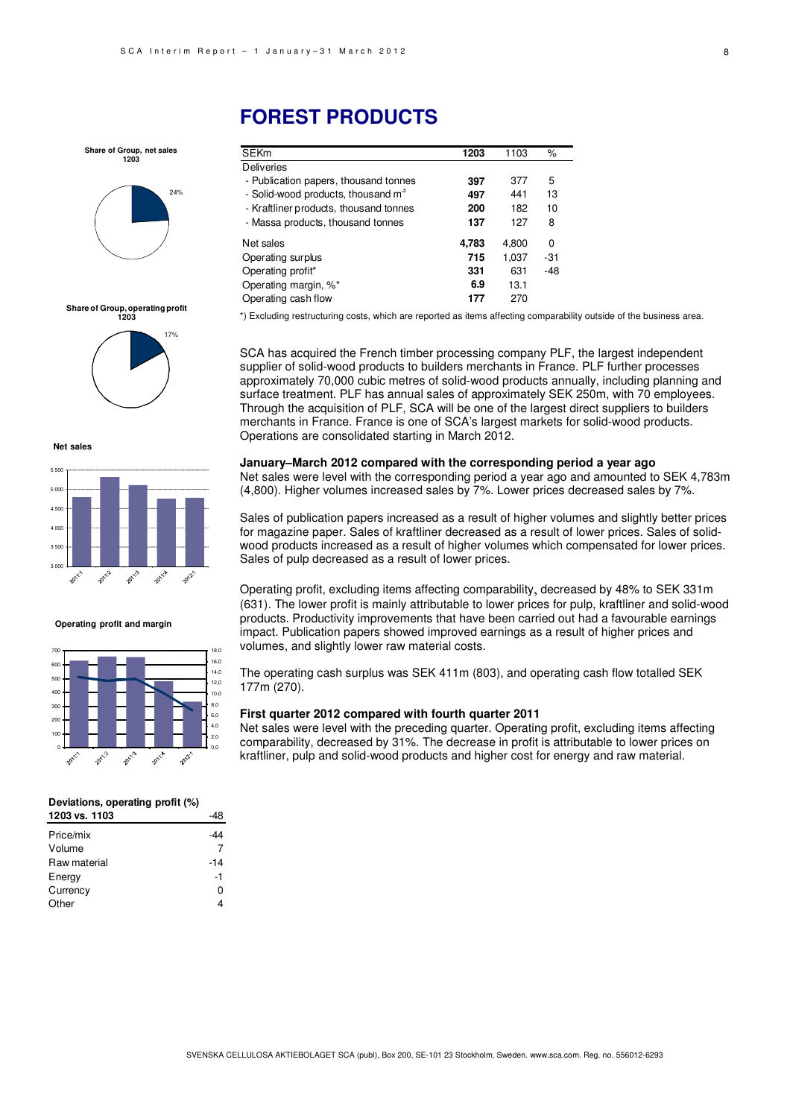8

# **Share of Group, net sales 1203**



# **Share of Group, operating profit 1203**







#### **Operating profit and margin**



#### **Deviations, operating profit (%)**

| 1203 vs. 1103 |     |
|---------------|-----|
| Price/mix     |     |
| Volume        | 7   |
| Raw material  | -14 |
| Energy        | -1  |
| Currency      | 0   |
| Other         | 4   |

# **FOREST PRODUCTS**

| <b>SEKm</b>                                     | 1203  | 1103  | $\%$     |
|-------------------------------------------------|-------|-------|----------|
| <b>Deliveries</b>                               |       |       |          |
| - Publication papers, thousand tonnes           | 397   | 377   | 5        |
| - Solid-wood products, thous and m <sup>3</sup> | 497   | 441   | 13       |
| - Kraftliner products, thousand tonnes          | 200   | 182   | 10       |
| - Massa products, thousand tonnes               | 137   | 127   | 8        |
| Net sales                                       | 4,783 | 4,800 | $\Omega$ |
| Operating surplus                               | 715   | 1,037 | -31      |
| Operating profit*                               | 331   | 631   | $-48$    |
| Operating margin, %*                            | 6.9   | 13.1  |          |
| Operating cash flow                             | 177   | 270   |          |

\*) Excluding restructuring costs, which are reported as items affecting comparability outside of the business area.

SCA has acquired the French timber processing company PLF, the largest independent supplier of solid-wood products to builders merchants in France. PLF further processes approximately 70,000 cubic metres of solid-wood products annually, including planning and surface treatment. PLF has annual sales of approximately SEK 250m, with 70 employees. Through the acquisition of PLF, SCA will be one of the largest direct suppliers to builders merchants in France. France is one of SCA's largest markets for solid-wood products. Operations are consolidated starting in March 2012.

#### **January–March 2012 compared with the corresponding period a year ago**

Net sales were level with the corresponding period a year ago and amounted to SEK 4,783m (4,800). Higher volumes increased sales by 7%. Lower prices decreased sales by 7%.

Sales of publication papers increased as a result of higher volumes and slightly better prices for magazine paper. Sales of kraftliner decreased as a result of lower prices. Sales of solidwood products increased as a result of higher volumes which compensated for lower prices. Sales of pulp decreased as a result of lower prices.

Operating profit, excluding items affecting comparability, decreased by 48% to SEK 331m (631). The lower profit is mainly attributable to lower prices for pulp, kraftliner and solid-wood products. Productivity improvements that have been carried out had a favourable earnings impact. Publication papers showed improved earnings as a result of higher prices and volumes, and slightly lower raw material costs.

The operating cash surplus was SEK 411m (803), and operating cash flow totalled SEK 177m (270).

#### **First quarter 2012 compared with fourth quarter 2011**

Net sales were level with the preceding quarter. Operating profit, excluding items affecting comparability, decreased by 31%. The decrease in profit is attributable to lower prices on kraftliner, pulp and solid-wood products and higher cost for energy and raw material.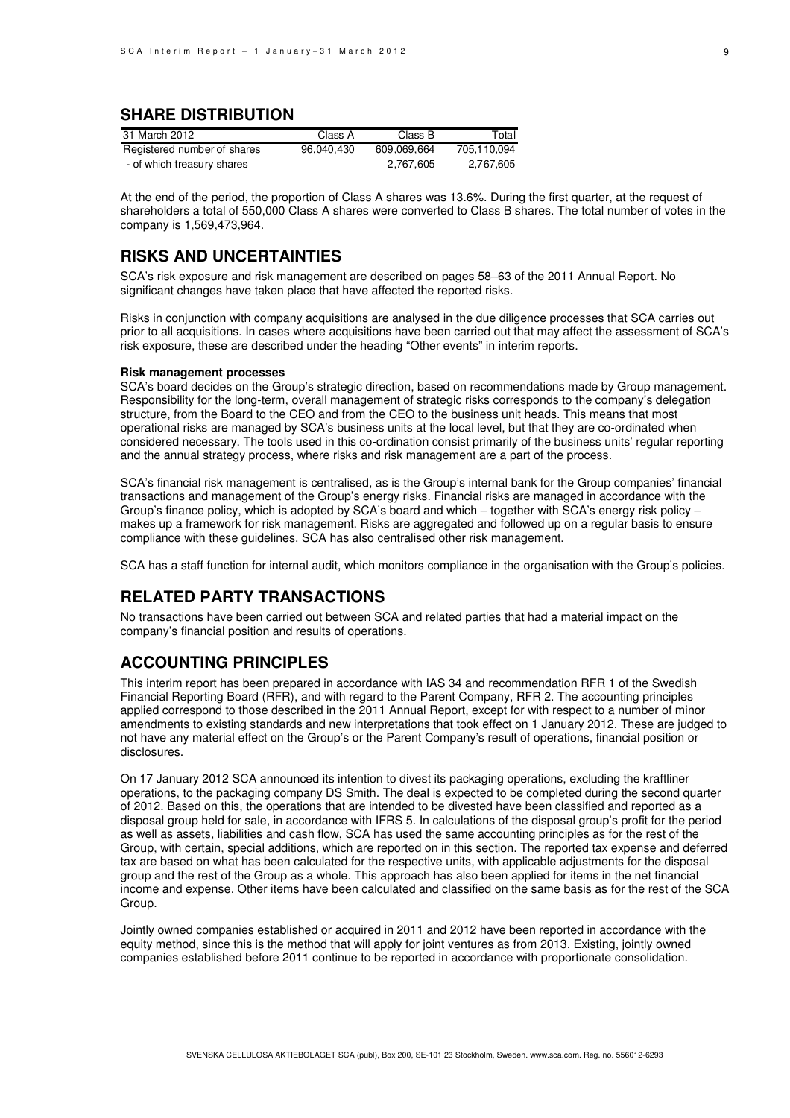# **SHARE DISTRIBUTION**

| 31 March 2012               | Class A    | Class B     | Total       |
|-----------------------------|------------|-------------|-------------|
| Registered number of shares | 96.040.430 | 609.069.664 | 705.110.094 |
| - of which treasury shares  |            | 2,767,605   | 2.767.605   |

At the end of the period, the proportion of Class A shares was 13.6%. During the first quarter, at the request of shareholders a total of 550,000 Class A shares were converted to Class B shares. The total number of votes in the company is 1,569,473,964.

# **RISKS AND UNCERTAINTIES**

SCA's risk exposure and risk management are described on pages 58–63 of the 2011 Annual Report. No significant changes have taken place that have affected the reported risks.

Risks in conjunction with company acquisitions are analysed in the due diligence processes that SCA carries out prior to all acquisitions. In cases where acquisitions have been carried out that may affect the assessment of SCA's risk exposure, these are described under the heading "Other events" in interim reports.

#### **Risk management processes**

SCA's board decides on the Group's strategic direction, based on recommendations made by Group management. Responsibility for the long-term, overall management of strategic risks corresponds to the company's delegation structure, from the Board to the CEO and from the CEO to the business unit heads. This means that most operational risks are managed by SCA's business units at the local level, but that they are co-ordinated when considered necessary. The tools used in this co-ordination consist primarily of the business units' regular reporting and the annual strategy process, where risks and risk management are a part of the process.

SCA's financial risk management is centralised, as is the Group's internal bank for the Group companies' financial transactions and management of the Group's energy risks. Financial risks are managed in accordance with the Group's finance policy, which is adopted by SCA's board and which – together with SCA's energy risk policy – makes up a framework for risk management. Risks are aggregated and followed up on a regular basis to ensure compliance with these guidelines. SCA has also centralised other risk management.

SCA has a staff function for internal audit, which monitors compliance in the organisation with the Group's policies.

# **RELATED PARTY TRANSACTIONS**

No transactions have been carried out between SCA and related parties that had a material impact on the company's financial position and results of operations.

# **ACCOUNTING PRINCIPLES**

This interim report has been prepared in accordance with IAS 34 and recommendation RFR 1 of the Swedish Financial Reporting Board (RFR), and with regard to the Parent Company, RFR 2. The accounting principles applied correspond to those described in the 2011 Annual Report, except for with respect to a number of minor amendments to existing standards and new interpretations that took effect on 1 January 2012. These are judged to not have any material effect on the Group's or the Parent Company's result of operations, financial position or disclosures.

On 17 January 2012 SCA announced its intention to divest its packaging operations, excluding the kraftliner operations, to the packaging company DS Smith. The deal is expected to be completed during the second quarter of 2012. Based on this, the operations that are intended to be divested have been classified and reported as a disposal group held for sale, in accordance with IFRS 5. In calculations of the disposal group's profit for the period as well as assets, liabilities and cash flow, SCA has used the same accounting principles as for the rest of the Group, with certain, special additions, which are reported on in this section. The reported tax expense and deferred tax are based on what has been calculated for the respective units, with applicable adjustments for the disposal group and the rest of the Group as a whole. This approach has also been applied for items in the net financial income and expense. Other items have been calculated and classified on the same basis as for the rest of the SCA Group.

Jointly owned companies established or acquired in 2011 and 2012 have been reported in accordance with the equity method, since this is the method that will apply for joint ventures as from 2013. Existing, jointly owned companies established before 2011 continue to be reported in accordance with proportionate consolidation.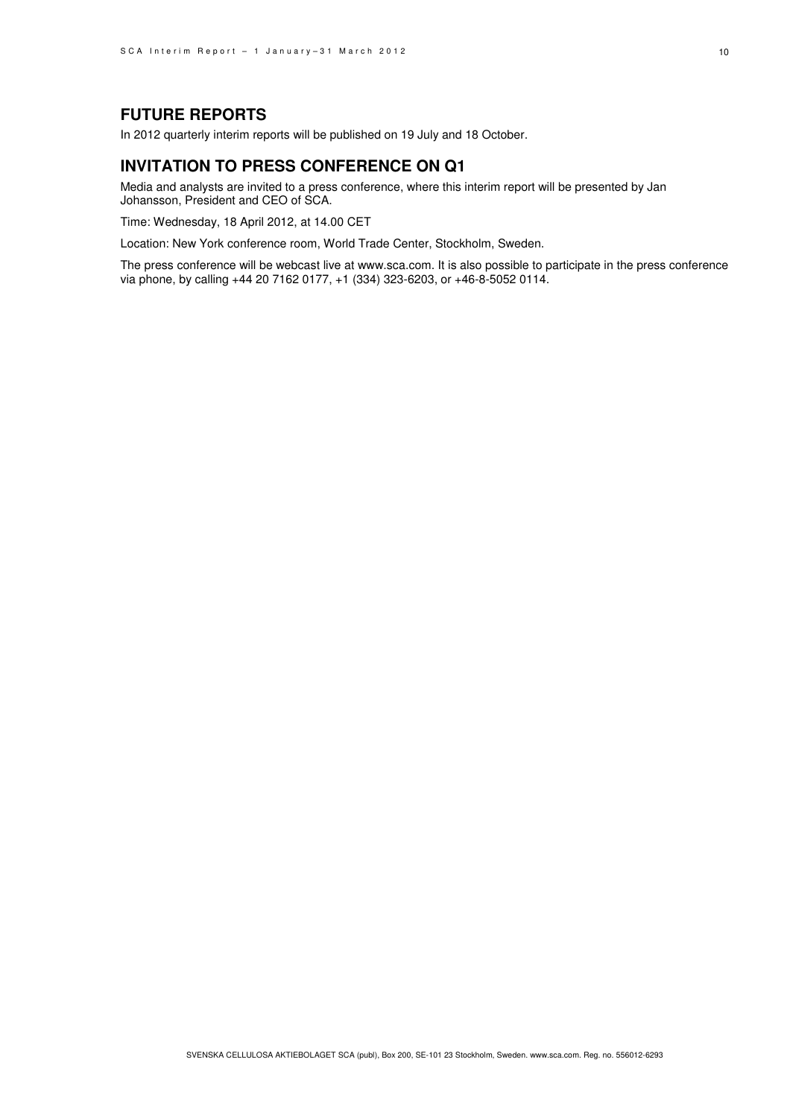# **FUTURE REPORTS**

In 2012 quarterly interim reports will be published on 19 July and 18 October.

# **INVITATION TO PRESS CONFERENCE ON Q1**

Media and analysts are invited to a press conference, where this interim report will be presented by Jan Johansson, President and CEO of SCA.

Time: Wednesday, 18 April 2012, at 14.00 CET

Location: New York conference room, World Trade Center, Stockholm, Sweden.

The press conference will be webcast live at www.sca.com. It is also possible to participate in the press conference via phone, by calling +44 20 7162 0177, +1 (334) 323-6203, or +46-8-5052 0114.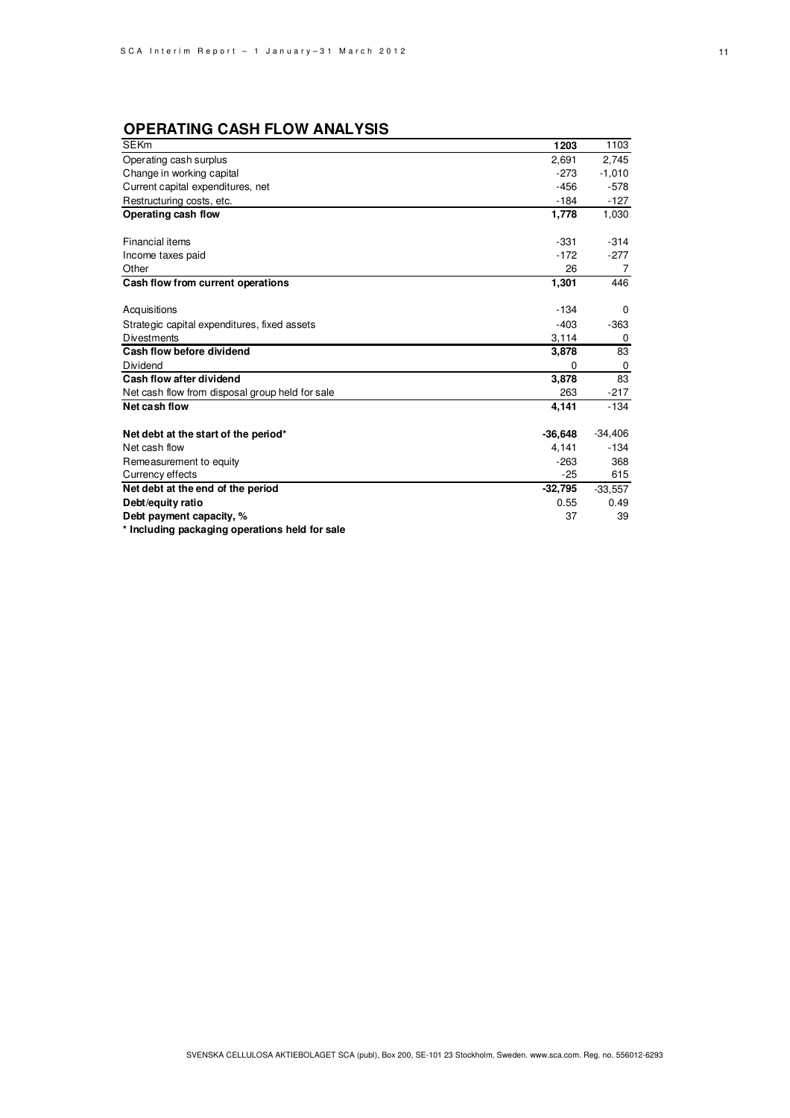| <b>SEKm</b>                                     | 1203      | 1103      |
|-------------------------------------------------|-----------|-----------|
| Operating cash surplus                          | 2,691     | 2,745     |
| Change in working capital                       | $-273$    | $-1,010$  |
| Current capital expenditures, net               | $-456$    | $-578$    |
| Restructuring costs, etc.                       | $-184$    | $-127$    |
| Operating cash flow                             | 1,778     | 1,030     |
|                                                 |           |           |
| Financial items                                 | $-331$    | $-314$    |
| Income taxes paid                               | $-172$    | $-277$    |
| Other                                           | 26        | 7         |
| Cash flow from current operations               | 1,301     | 446       |
|                                                 |           |           |
| Acquisitions                                    | $-134$    | $\Omega$  |
| Strategic capital expenditures, fixed assets    | $-403$    | $-363$    |
| <b>Divestments</b>                              | 3,114     | 0         |
| Cash flow before dividend                       | 3,878     | 83        |
| Dividend                                        | 0         | 0         |
| Cash flow after dividend                        | 3,878     | 83        |
| Net cash flow from disposal group held for sale | 263       | $-217$    |
| Net cash flow                                   | 4,141     | $-134$    |
| Net debt at the start of the period*            | $-36,648$ | $-34,406$ |
| Net cash flow                                   | 4,141     | $-134$    |
| Remeasurement to equity                         | $-263$    | 368       |
| Currency effects                                | $-25$     | 615       |
| Net debt at the end of the period               | $-32,795$ | $-33,557$ |
| Debt/equity ratio                               | 0.55      | 0.49      |
| Debt payment capacity, %                        | 37        | 39        |
| * Including packaging operations held for sale  |           |           |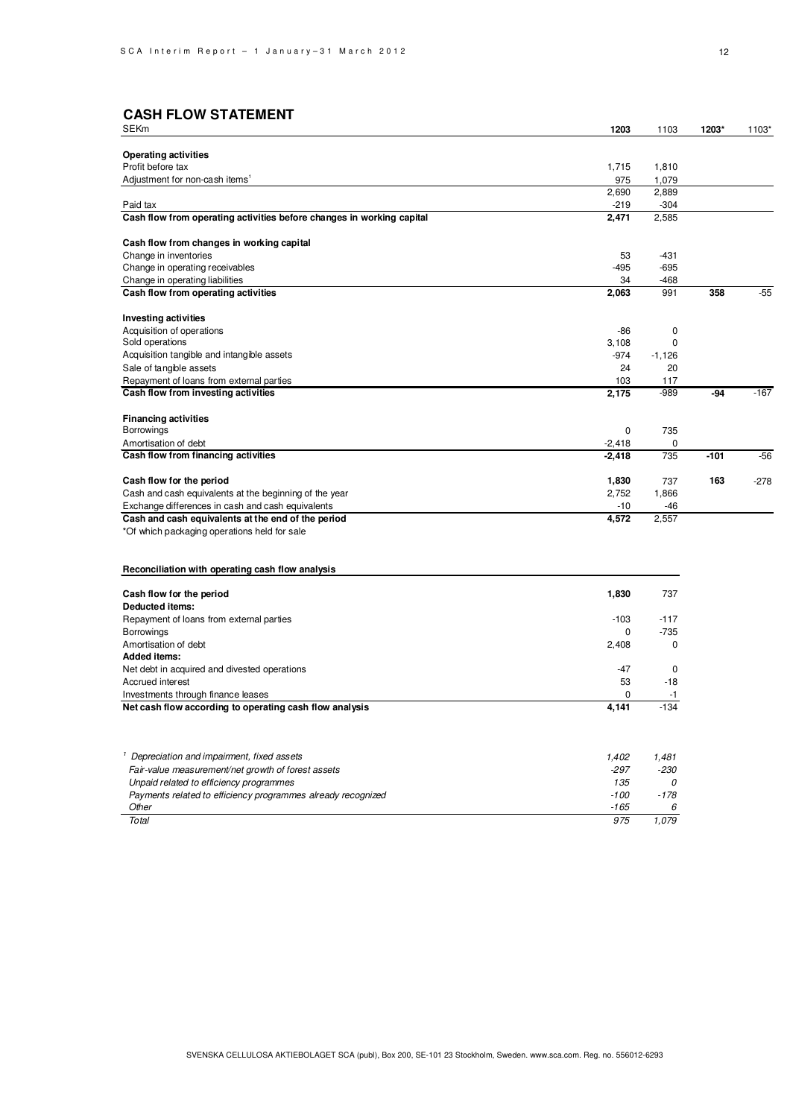# **CASH FLOW STATEMENT**

| <b>Operating activities</b><br>Profit before tax<br>1,715<br>1,810<br>Adjustment for non-cash items <sup>1</sup><br>975<br>1,079<br>2,690<br>2,889<br>$-304$<br>Paid tax<br>-219<br>Cash flow from operating activities before changes in working capital<br>2,471<br>2,585<br>Cash flow from changes in working capital<br>Change in inventories<br>53<br>$-431$<br>Change in operating receivables<br>-495<br>$-695$<br>Change in operating liabilities<br>34<br>-468<br>2,063<br>991<br>358<br>$-55$<br>Cash flow from operating activities<br><b>Investing activities</b><br>Acquisition of operations<br>-86<br>0<br>Sold operations<br>0<br>3,108<br>Acquisition tangible and intangible assets<br>-974<br>$-1,126$<br>Sale of tangible assets<br>24<br>20<br>Repayment of loans from external parties<br>103<br>117<br>Cash flow from investing activities<br>$-167$<br>2,175<br>-989<br>-94<br><b>Financing activities</b><br>$\mathbf 0$<br>Borrowings<br>735<br>$-2,418$<br>0<br>Amortisation of debt<br>Cash flow from financing activities<br>735<br>$-101$<br>$-2,418$<br>-56<br>Cash flow for the period<br>1,830<br>737<br>163<br>$-278$<br>2,752<br>Cash and cash equivalents at the beginning of the year<br>1,866<br>Exchange differences in cash and cash equivalents<br>-10<br>-46<br>Cash and cash equivalents at the end of the period<br>4,572<br>2,557<br>*Of which packaging operations held for sale<br>Reconciliation with operating cash flow analysis<br>Cash flow for the period<br>1,830<br>737<br>Deducted items:<br>Repayment of loans from external parties<br>$-103$<br>$-117$<br>$-735$<br><b>Borrowings</b><br>0<br>Amortisation of debt<br>2,408<br>0<br><b>Added items:</b><br>Net debt in acquired and divested operations<br>-47<br>0<br>Accrued interest<br>53<br>$-18$<br>$\mathbf 0$<br>Investments through finance leases<br>-1<br>Net cash flow according to operating cash flow analysis<br>4,141<br>$-134$<br><sup>1</sup> Depreciation and impairment, fixed assets<br>1,402<br>1,481<br>Fair-value measurement/net growth of forest assets<br>$-297$<br>$-230$<br>Unpaid related to efficiency programmes<br>135<br>0<br>$-178$<br>Payments related to efficiency programmes already recognized<br>$-100$<br>Other<br>-165<br>6<br>975<br>1,079<br>Total | SEKm | 1203 | 1103 | 1203* | 1103* |
|------------------------------------------------------------------------------------------------------------------------------------------------------------------------------------------------------------------------------------------------------------------------------------------------------------------------------------------------------------------------------------------------------------------------------------------------------------------------------------------------------------------------------------------------------------------------------------------------------------------------------------------------------------------------------------------------------------------------------------------------------------------------------------------------------------------------------------------------------------------------------------------------------------------------------------------------------------------------------------------------------------------------------------------------------------------------------------------------------------------------------------------------------------------------------------------------------------------------------------------------------------------------------------------------------------------------------------------------------------------------------------------------------------------------------------------------------------------------------------------------------------------------------------------------------------------------------------------------------------------------------------------------------------------------------------------------------------------------------------------------------------------------------------------------------------------------------------------------------------------------------------------------------------------------------------------------------------------------------------------------------------------------------------------------------------------------------------------------------------------------------------------------------------------------------------------------------------------------------------------------------------------------------------------------------------|------|------|------|-------|-------|
|                                                                                                                                                                                                                                                                                                                                                                                                                                                                                                                                                                                                                                                                                                                                                                                                                                                                                                                                                                                                                                                                                                                                                                                                                                                                                                                                                                                                                                                                                                                                                                                                                                                                                                                                                                                                                                                                                                                                                                                                                                                                                                                                                                                                                                                                                                            |      |      |      |       |       |
|                                                                                                                                                                                                                                                                                                                                                                                                                                                                                                                                                                                                                                                                                                                                                                                                                                                                                                                                                                                                                                                                                                                                                                                                                                                                                                                                                                                                                                                                                                                                                                                                                                                                                                                                                                                                                                                                                                                                                                                                                                                                                                                                                                                                                                                                                                            |      |      |      |       |       |
|                                                                                                                                                                                                                                                                                                                                                                                                                                                                                                                                                                                                                                                                                                                                                                                                                                                                                                                                                                                                                                                                                                                                                                                                                                                                                                                                                                                                                                                                                                                                                                                                                                                                                                                                                                                                                                                                                                                                                                                                                                                                                                                                                                                                                                                                                                            |      |      |      |       |       |
|                                                                                                                                                                                                                                                                                                                                                                                                                                                                                                                                                                                                                                                                                                                                                                                                                                                                                                                                                                                                                                                                                                                                                                                                                                                                                                                                                                                                                                                                                                                                                                                                                                                                                                                                                                                                                                                                                                                                                                                                                                                                                                                                                                                                                                                                                                            |      |      |      |       |       |
|                                                                                                                                                                                                                                                                                                                                                                                                                                                                                                                                                                                                                                                                                                                                                                                                                                                                                                                                                                                                                                                                                                                                                                                                                                                                                                                                                                                                                                                                                                                                                                                                                                                                                                                                                                                                                                                                                                                                                                                                                                                                                                                                                                                                                                                                                                            |      |      |      |       |       |
|                                                                                                                                                                                                                                                                                                                                                                                                                                                                                                                                                                                                                                                                                                                                                                                                                                                                                                                                                                                                                                                                                                                                                                                                                                                                                                                                                                                                                                                                                                                                                                                                                                                                                                                                                                                                                                                                                                                                                                                                                                                                                                                                                                                                                                                                                                            |      |      |      |       |       |
|                                                                                                                                                                                                                                                                                                                                                                                                                                                                                                                                                                                                                                                                                                                                                                                                                                                                                                                                                                                                                                                                                                                                                                                                                                                                                                                                                                                                                                                                                                                                                                                                                                                                                                                                                                                                                                                                                                                                                                                                                                                                                                                                                                                                                                                                                                            |      |      |      |       |       |
|                                                                                                                                                                                                                                                                                                                                                                                                                                                                                                                                                                                                                                                                                                                                                                                                                                                                                                                                                                                                                                                                                                                                                                                                                                                                                                                                                                                                                                                                                                                                                                                                                                                                                                                                                                                                                                                                                                                                                                                                                                                                                                                                                                                                                                                                                                            |      |      |      |       |       |
|                                                                                                                                                                                                                                                                                                                                                                                                                                                                                                                                                                                                                                                                                                                                                                                                                                                                                                                                                                                                                                                                                                                                                                                                                                                                                                                                                                                                                                                                                                                                                                                                                                                                                                                                                                                                                                                                                                                                                                                                                                                                                                                                                                                                                                                                                                            |      |      |      |       |       |
|                                                                                                                                                                                                                                                                                                                                                                                                                                                                                                                                                                                                                                                                                                                                                                                                                                                                                                                                                                                                                                                                                                                                                                                                                                                                                                                                                                                                                                                                                                                                                                                                                                                                                                                                                                                                                                                                                                                                                                                                                                                                                                                                                                                                                                                                                                            |      |      |      |       |       |
|                                                                                                                                                                                                                                                                                                                                                                                                                                                                                                                                                                                                                                                                                                                                                                                                                                                                                                                                                                                                                                                                                                                                                                                                                                                                                                                                                                                                                                                                                                                                                                                                                                                                                                                                                                                                                                                                                                                                                                                                                                                                                                                                                                                                                                                                                                            |      |      |      |       |       |
|                                                                                                                                                                                                                                                                                                                                                                                                                                                                                                                                                                                                                                                                                                                                                                                                                                                                                                                                                                                                                                                                                                                                                                                                                                                                                                                                                                                                                                                                                                                                                                                                                                                                                                                                                                                                                                                                                                                                                                                                                                                                                                                                                                                                                                                                                                            |      |      |      |       |       |
|                                                                                                                                                                                                                                                                                                                                                                                                                                                                                                                                                                                                                                                                                                                                                                                                                                                                                                                                                                                                                                                                                                                                                                                                                                                                                                                                                                                                                                                                                                                                                                                                                                                                                                                                                                                                                                                                                                                                                                                                                                                                                                                                                                                                                                                                                                            |      |      |      |       |       |
|                                                                                                                                                                                                                                                                                                                                                                                                                                                                                                                                                                                                                                                                                                                                                                                                                                                                                                                                                                                                                                                                                                                                                                                                                                                                                                                                                                                                                                                                                                                                                                                                                                                                                                                                                                                                                                                                                                                                                                                                                                                                                                                                                                                                                                                                                                            |      |      |      |       |       |
|                                                                                                                                                                                                                                                                                                                                                                                                                                                                                                                                                                                                                                                                                                                                                                                                                                                                                                                                                                                                                                                                                                                                                                                                                                                                                                                                                                                                                                                                                                                                                                                                                                                                                                                                                                                                                                                                                                                                                                                                                                                                                                                                                                                                                                                                                                            |      |      |      |       |       |
|                                                                                                                                                                                                                                                                                                                                                                                                                                                                                                                                                                                                                                                                                                                                                                                                                                                                                                                                                                                                                                                                                                                                                                                                                                                                                                                                                                                                                                                                                                                                                                                                                                                                                                                                                                                                                                                                                                                                                                                                                                                                                                                                                                                                                                                                                                            |      |      |      |       |       |
|                                                                                                                                                                                                                                                                                                                                                                                                                                                                                                                                                                                                                                                                                                                                                                                                                                                                                                                                                                                                                                                                                                                                                                                                                                                                                                                                                                                                                                                                                                                                                                                                                                                                                                                                                                                                                                                                                                                                                                                                                                                                                                                                                                                                                                                                                                            |      |      |      |       |       |
|                                                                                                                                                                                                                                                                                                                                                                                                                                                                                                                                                                                                                                                                                                                                                                                                                                                                                                                                                                                                                                                                                                                                                                                                                                                                                                                                                                                                                                                                                                                                                                                                                                                                                                                                                                                                                                                                                                                                                                                                                                                                                                                                                                                                                                                                                                            |      |      |      |       |       |
|                                                                                                                                                                                                                                                                                                                                                                                                                                                                                                                                                                                                                                                                                                                                                                                                                                                                                                                                                                                                                                                                                                                                                                                                                                                                                                                                                                                                                                                                                                                                                                                                                                                                                                                                                                                                                                                                                                                                                                                                                                                                                                                                                                                                                                                                                                            |      |      |      |       |       |
|                                                                                                                                                                                                                                                                                                                                                                                                                                                                                                                                                                                                                                                                                                                                                                                                                                                                                                                                                                                                                                                                                                                                                                                                                                                                                                                                                                                                                                                                                                                                                                                                                                                                                                                                                                                                                                                                                                                                                                                                                                                                                                                                                                                                                                                                                                            |      |      |      |       |       |
|                                                                                                                                                                                                                                                                                                                                                                                                                                                                                                                                                                                                                                                                                                                                                                                                                                                                                                                                                                                                                                                                                                                                                                                                                                                                                                                                                                                                                                                                                                                                                                                                                                                                                                                                                                                                                                                                                                                                                                                                                                                                                                                                                                                                                                                                                                            |      |      |      |       |       |
|                                                                                                                                                                                                                                                                                                                                                                                                                                                                                                                                                                                                                                                                                                                                                                                                                                                                                                                                                                                                                                                                                                                                                                                                                                                                                                                                                                                                                                                                                                                                                                                                                                                                                                                                                                                                                                                                                                                                                                                                                                                                                                                                                                                                                                                                                                            |      |      |      |       |       |
|                                                                                                                                                                                                                                                                                                                                                                                                                                                                                                                                                                                                                                                                                                                                                                                                                                                                                                                                                                                                                                                                                                                                                                                                                                                                                                                                                                                                                                                                                                                                                                                                                                                                                                                                                                                                                                                                                                                                                                                                                                                                                                                                                                                                                                                                                                            |      |      |      |       |       |
|                                                                                                                                                                                                                                                                                                                                                                                                                                                                                                                                                                                                                                                                                                                                                                                                                                                                                                                                                                                                                                                                                                                                                                                                                                                                                                                                                                                                                                                                                                                                                                                                                                                                                                                                                                                                                                                                                                                                                                                                                                                                                                                                                                                                                                                                                                            |      |      |      |       |       |
|                                                                                                                                                                                                                                                                                                                                                                                                                                                                                                                                                                                                                                                                                                                                                                                                                                                                                                                                                                                                                                                                                                                                                                                                                                                                                                                                                                                                                                                                                                                                                                                                                                                                                                                                                                                                                                                                                                                                                                                                                                                                                                                                                                                                                                                                                                            |      |      |      |       |       |
|                                                                                                                                                                                                                                                                                                                                                                                                                                                                                                                                                                                                                                                                                                                                                                                                                                                                                                                                                                                                                                                                                                                                                                                                                                                                                                                                                                                                                                                                                                                                                                                                                                                                                                                                                                                                                                                                                                                                                                                                                                                                                                                                                                                                                                                                                                            |      |      |      |       |       |
|                                                                                                                                                                                                                                                                                                                                                                                                                                                                                                                                                                                                                                                                                                                                                                                                                                                                                                                                                                                                                                                                                                                                                                                                                                                                                                                                                                                                                                                                                                                                                                                                                                                                                                                                                                                                                                                                                                                                                                                                                                                                                                                                                                                                                                                                                                            |      |      |      |       |       |
|                                                                                                                                                                                                                                                                                                                                                                                                                                                                                                                                                                                                                                                                                                                                                                                                                                                                                                                                                                                                                                                                                                                                                                                                                                                                                                                                                                                                                                                                                                                                                                                                                                                                                                                                                                                                                                                                                                                                                                                                                                                                                                                                                                                                                                                                                                            |      |      |      |       |       |
|                                                                                                                                                                                                                                                                                                                                                                                                                                                                                                                                                                                                                                                                                                                                                                                                                                                                                                                                                                                                                                                                                                                                                                                                                                                                                                                                                                                                                                                                                                                                                                                                                                                                                                                                                                                                                                                                                                                                                                                                                                                                                                                                                                                                                                                                                                            |      |      |      |       |       |
|                                                                                                                                                                                                                                                                                                                                                                                                                                                                                                                                                                                                                                                                                                                                                                                                                                                                                                                                                                                                                                                                                                                                                                                                                                                                                                                                                                                                                                                                                                                                                                                                                                                                                                                                                                                                                                                                                                                                                                                                                                                                                                                                                                                                                                                                                                            |      |      |      |       |       |
|                                                                                                                                                                                                                                                                                                                                                                                                                                                                                                                                                                                                                                                                                                                                                                                                                                                                                                                                                                                                                                                                                                                                                                                                                                                                                                                                                                                                                                                                                                                                                                                                                                                                                                                                                                                                                                                                                                                                                                                                                                                                                                                                                                                                                                                                                                            |      |      |      |       |       |
|                                                                                                                                                                                                                                                                                                                                                                                                                                                                                                                                                                                                                                                                                                                                                                                                                                                                                                                                                                                                                                                                                                                                                                                                                                                                                                                                                                                                                                                                                                                                                                                                                                                                                                                                                                                                                                                                                                                                                                                                                                                                                                                                                                                                                                                                                                            |      |      |      |       |       |
|                                                                                                                                                                                                                                                                                                                                                                                                                                                                                                                                                                                                                                                                                                                                                                                                                                                                                                                                                                                                                                                                                                                                                                                                                                                                                                                                                                                                                                                                                                                                                                                                                                                                                                                                                                                                                                                                                                                                                                                                                                                                                                                                                                                                                                                                                                            |      |      |      |       |       |
|                                                                                                                                                                                                                                                                                                                                                                                                                                                                                                                                                                                                                                                                                                                                                                                                                                                                                                                                                                                                                                                                                                                                                                                                                                                                                                                                                                                                                                                                                                                                                                                                                                                                                                                                                                                                                                                                                                                                                                                                                                                                                                                                                                                                                                                                                                            |      |      |      |       |       |
|                                                                                                                                                                                                                                                                                                                                                                                                                                                                                                                                                                                                                                                                                                                                                                                                                                                                                                                                                                                                                                                                                                                                                                                                                                                                                                                                                                                                                                                                                                                                                                                                                                                                                                                                                                                                                                                                                                                                                                                                                                                                                                                                                                                                                                                                                                            |      |      |      |       |       |
|                                                                                                                                                                                                                                                                                                                                                                                                                                                                                                                                                                                                                                                                                                                                                                                                                                                                                                                                                                                                                                                                                                                                                                                                                                                                                                                                                                                                                                                                                                                                                                                                                                                                                                                                                                                                                                                                                                                                                                                                                                                                                                                                                                                                                                                                                                            |      |      |      |       |       |
|                                                                                                                                                                                                                                                                                                                                                                                                                                                                                                                                                                                                                                                                                                                                                                                                                                                                                                                                                                                                                                                                                                                                                                                                                                                                                                                                                                                                                                                                                                                                                                                                                                                                                                                                                                                                                                                                                                                                                                                                                                                                                                                                                                                                                                                                                                            |      |      |      |       |       |
|                                                                                                                                                                                                                                                                                                                                                                                                                                                                                                                                                                                                                                                                                                                                                                                                                                                                                                                                                                                                                                                                                                                                                                                                                                                                                                                                                                                                                                                                                                                                                                                                                                                                                                                                                                                                                                                                                                                                                                                                                                                                                                                                                                                                                                                                                                            |      |      |      |       |       |
|                                                                                                                                                                                                                                                                                                                                                                                                                                                                                                                                                                                                                                                                                                                                                                                                                                                                                                                                                                                                                                                                                                                                                                                                                                                                                                                                                                                                                                                                                                                                                                                                                                                                                                                                                                                                                                                                                                                                                                                                                                                                                                                                                                                                                                                                                                            |      |      |      |       |       |
|                                                                                                                                                                                                                                                                                                                                                                                                                                                                                                                                                                                                                                                                                                                                                                                                                                                                                                                                                                                                                                                                                                                                                                                                                                                                                                                                                                                                                                                                                                                                                                                                                                                                                                                                                                                                                                                                                                                                                                                                                                                                                                                                                                                                                                                                                                            |      |      |      |       |       |
|                                                                                                                                                                                                                                                                                                                                                                                                                                                                                                                                                                                                                                                                                                                                                                                                                                                                                                                                                                                                                                                                                                                                                                                                                                                                                                                                                                                                                                                                                                                                                                                                                                                                                                                                                                                                                                                                                                                                                                                                                                                                                                                                                                                                                                                                                                            |      |      |      |       |       |
|                                                                                                                                                                                                                                                                                                                                                                                                                                                                                                                                                                                                                                                                                                                                                                                                                                                                                                                                                                                                                                                                                                                                                                                                                                                                                                                                                                                                                                                                                                                                                                                                                                                                                                                                                                                                                                                                                                                                                                                                                                                                                                                                                                                                                                                                                                            |      |      |      |       |       |
|                                                                                                                                                                                                                                                                                                                                                                                                                                                                                                                                                                                                                                                                                                                                                                                                                                                                                                                                                                                                                                                                                                                                                                                                                                                                                                                                                                                                                                                                                                                                                                                                                                                                                                                                                                                                                                                                                                                                                                                                                                                                                                                                                                                                                                                                                                            |      |      |      |       |       |
|                                                                                                                                                                                                                                                                                                                                                                                                                                                                                                                                                                                                                                                                                                                                                                                                                                                                                                                                                                                                                                                                                                                                                                                                                                                                                                                                                                                                                                                                                                                                                                                                                                                                                                                                                                                                                                                                                                                                                                                                                                                                                                                                                                                                                                                                                                            |      |      |      |       |       |
|                                                                                                                                                                                                                                                                                                                                                                                                                                                                                                                                                                                                                                                                                                                                                                                                                                                                                                                                                                                                                                                                                                                                                                                                                                                                                                                                                                                                                                                                                                                                                                                                                                                                                                                                                                                                                                                                                                                                                                                                                                                                                                                                                                                                                                                                                                            |      |      |      |       |       |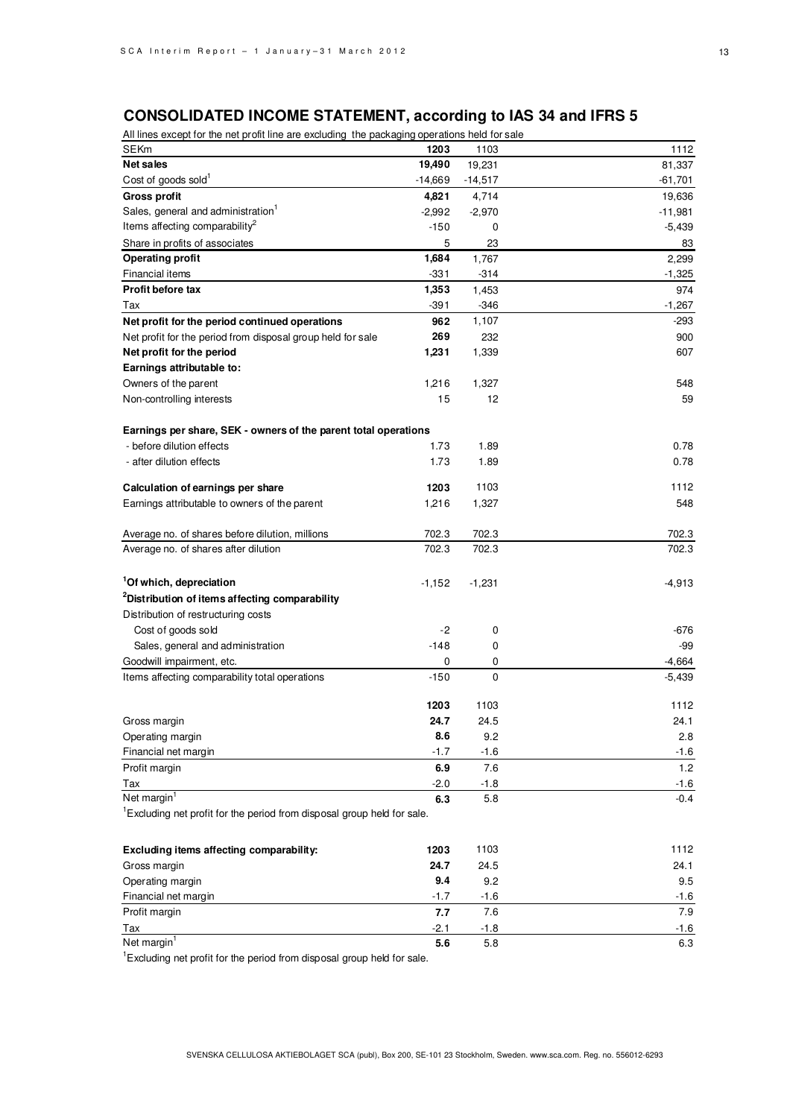# **CONSOLIDATED INCOME STATEMENT, according to IAS 34 and IFRS 5**

| All lines except for the net profit line are excluding the packaging operations held for sale |           |             |           |
|-----------------------------------------------------------------------------------------------|-----------|-------------|-----------|
| <b>SEKm</b>                                                                                   | 1203      | 1103        | 1112      |
| <b>Net sales</b>                                                                              | 19,490    | 19,231      | 81,337    |
| Cost of goods sold <sup>1</sup>                                                               | $-14,669$ | $-14,517$   | $-61,701$ |
| <b>Gross profit</b>                                                                           | 4,821     | 4,714       | 19,636    |
| Sales, general and administration <sup>1</sup>                                                | $-2,992$  | $-2,970$    | $-11,981$ |
| Items affecting comparability <sup>2</sup>                                                    | $-150$    | 0           | $-5,439$  |
| Share in profits of associates                                                                | 5         | 23          | 83        |
| <b>Operating profit</b>                                                                       | 1,684     | 1,767       | 2,299     |
| Financial items                                                                               | $-331$    | $-314$      | $-1,325$  |
| Profit before tax                                                                             | 1,353     | 1,453       | 974       |
| Tax                                                                                           | $-391$    | $-346$      | $-1,267$  |
| Net profit for the period continued operations                                                | 962       | 1,107       | -293      |
| Net profit for the period from disposal group held for sale                                   | 269       | 232         | 900       |
| Net profit for the period                                                                     | 1,231     | 1,339       | 607       |
| Earnings attributable to:                                                                     |           |             |           |
| Owners of the parent                                                                          | 1,216     | 1,327       | 548       |
| Non-controlling interests                                                                     | 15        | 12          | 59        |
| Earnings per share, SEK - owners of the parent total operations                               |           |             |           |
| - before dilution effects                                                                     | 1.73      | 1.89        | 0.78      |
| - after dilution effects                                                                      | 1.73      | 1.89        | 0.78      |
| Calculation of earnings per share                                                             | 1203      | 1103        | 1112      |
| Earnings attributable to owners of the parent                                                 | 1,216     | 1,327       | 548       |
| Average no. of shares before dilution, millions                                               | 702.3     | 702.3       | 702.3     |
| Average no. of shares after dilution                                                          | 702.3     | 702.3       | 702.3     |
| <sup>1</sup> Of which, depreciation                                                           | $-1,152$  | $-1,231$    | $-4,913$  |
| <sup>2</sup> Distribution of items affecting comparability                                    |           |             |           |
| Distribution of restructuring costs                                                           |           |             |           |
| Cost of goods sold                                                                            | -2        | 0           | -676      |
| Sales, general and administration                                                             | $-148$    | 0           | -99       |
| Goodwill impairment, etc.                                                                     | 0         | 0           | $-4,664$  |
| Items affecting comparability total operations                                                | $-150$    | $\mathbf 0$ | $-5,439$  |
|                                                                                               | 1203      | 1103        | 1112      |
| Gross margin                                                                                  | 24.7      | 24.5        | 24.1      |
| Operating margin                                                                              | 8.6       | 9.2         | 2.8       |
| Financial net margin                                                                          | $-1.7$    | $-1.6$      | $-1.6$    |
| Profit margin                                                                                 | 6.9       | 7.6         | 1.2       |
| Tax                                                                                           | $-2.0$    | $-1.8$      | $-1.6$    |
| Net margin <sup>1</sup>                                                                       | 6.3       | 5.8         | $-0.4$    |
| <sup>1</sup> Excluding net profit for the period from disposal group held for sale.           |           |             |           |
| Excluding items affecting comparability:                                                      | 1203      | 1103        | 1112      |
| Gross margin                                                                                  | 24.7      | 24.5        | 24.1      |
| Operating margin                                                                              | 9.4       | 9.2         | 9.5       |
| Financial net margin                                                                          | $-1.7$    | $-1.6$      | -1.6      |
| Profit margin                                                                                 | 7.7       | 7.6         | 7.9       |
| Tax                                                                                           | -2.1      | $-1.8$      | -1.6      |
| Net margin <sup>1</sup>                                                                       | 5.6       | 5.8         | 6.3       |

<sup>1</sup> Excluding net profit for the period from disposal group held for sale.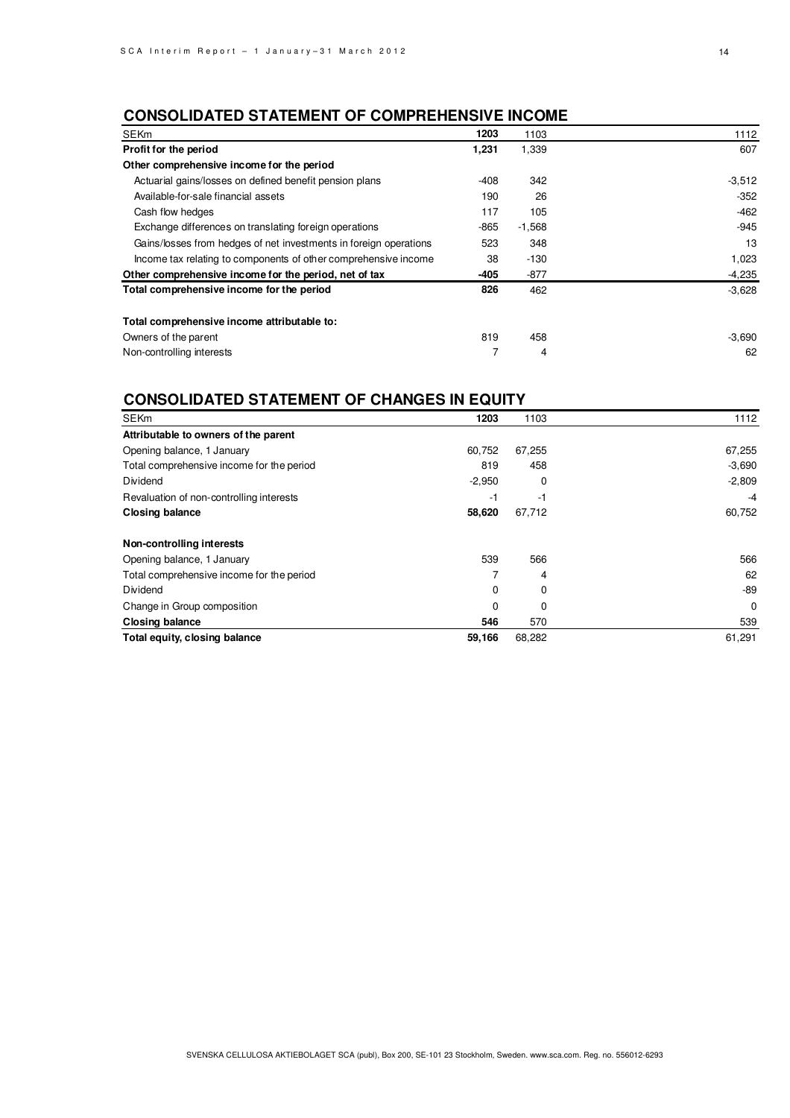# **CONSOLIDATED STATEMENT OF COMPREHENSIVE INCOME**

| <b>SEKm</b>                                                       | 1203   | 1103     | 1112     |
|-------------------------------------------------------------------|--------|----------|----------|
| Profit for the period                                             | 1,231  | 1,339    | 607      |
| Other comprehensive income for the period                         |        |          |          |
| Actuarial gains/losses on defined benefit pension plans           | -408   | 342      | $-3,512$ |
| Available-for-sale financial assets                               | 190    | 26       | $-352$   |
| Cash flow hedges                                                  | 117    | 105      | $-462$   |
| Exchange differences on translating foreign operations            | $-865$ | $-1,568$ | $-945$   |
| Gains/losses from hedges of net investments in foreign operations | 523    | 348      | 13       |
| Income tax relating to components of other comprehensive income   | 38     | $-130$   | 1,023    |
| Other comprehensive income for the period, net of tax             | -405   | $-877$   | $-4,235$ |
| Total comprehensive income for the period                         | 826    | 462      | $-3,628$ |
| Total comprehensive income attributable to:                       |        |          |          |
| Owners of the parent                                              | 819    | 458      | $-3,690$ |
| Non-controlling interests                                         | 7      | 4        | 62       |

# **CONSOLIDATED STATEMENT OF CHANGES IN EQUITY**

| <b>SEKm</b>                               | 1203     | 1103     | 1112     |
|-------------------------------------------|----------|----------|----------|
| Attributable to owners of the parent      |          |          |          |
| Opening balance, 1 January                | 60.752   | 67,255   | 67,255   |
| Total comprehensive income for the period | 819      | 458      | $-3,690$ |
| Dividend                                  | $-2,950$ | 0        | $-2,809$ |
| Revaluation of non-controlling interests  | -1       | -1       | $-4$     |
| <b>Closing balance</b>                    | 58,620   | 67,712   | 60,752   |
| Non-controlling interests                 |          |          |          |
| Opening balance, 1 January                | 539      | 566      | 566      |
| Total comprehensive income for the period |          | 4        | 62       |
| Dividend                                  | 0        | 0        | $-89$    |
| Change in Group composition               | 0        | $\Omega$ | $\Omega$ |
| Closing balance                           | 546      | 570      | 539      |
| Total equity, closing balance             | 59,166   | 68,282   | 61,291   |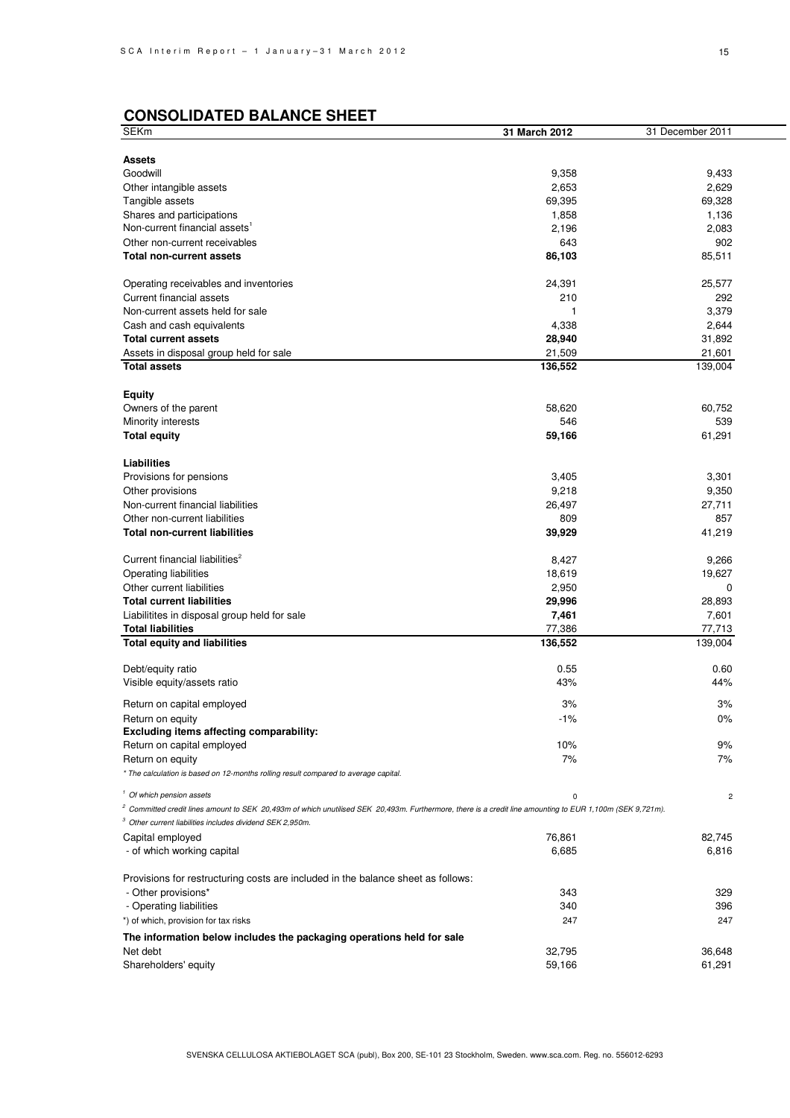# **CONSOLIDATED BALANCE SHEET**

| <b>SEKm</b>                                                                                                                                                          | 31 March 2012 | 31 December 2011 |
|----------------------------------------------------------------------------------------------------------------------------------------------------------------------|---------------|------------------|
|                                                                                                                                                                      |               |                  |
| <b>Assets</b>                                                                                                                                                        |               |                  |
| Goodwill                                                                                                                                                             | 9,358         | 9,433            |
| Other intangible assets                                                                                                                                              | 2,653         | 2,629            |
| Tangible assets                                                                                                                                                      | 69,395        | 69,328           |
| Shares and participations                                                                                                                                            | 1,858         | 1,136            |
| Non-current financial assets <sup>1</sup>                                                                                                                            | 2,196         | 2,083            |
| Other non-current receivables                                                                                                                                        | 643           | 902              |
| <b>Total non-current assets</b>                                                                                                                                      | 86,103        | 85,511           |
| Operating receivables and inventories                                                                                                                                | 24,391        | 25,577           |
| Current financial assets                                                                                                                                             | 210           | 292              |
| Non-current assets held for sale                                                                                                                                     | 1             | 3,379            |
| Cash and cash equivalents                                                                                                                                            | 4,338         | 2,644            |
| <b>Total current assets</b>                                                                                                                                          | 28,940        | 31,892           |
| Assets in disposal group held for sale                                                                                                                               | 21,509        | 21,601           |
| <b>Total assets</b>                                                                                                                                                  | 136,552       | 139,004          |
| <b>Equity</b>                                                                                                                                                        |               |                  |
| Owners of the parent                                                                                                                                                 | 58,620        | 60,752           |
| Minority interests                                                                                                                                                   | 546           | 539              |
| <b>Total equity</b>                                                                                                                                                  | 59,166        | 61,291           |
|                                                                                                                                                                      |               |                  |
| Liabilities                                                                                                                                                          |               |                  |
| Provisions for pensions                                                                                                                                              | 3,405         | 3,301            |
| Other provisions                                                                                                                                                     | 9,218         | 9,350            |
| Non-current financial liabilities                                                                                                                                    | 26,497        | 27,711           |
| Other non-current liabilities                                                                                                                                        | 809           | 857              |
| <b>Total non-current liabilities</b>                                                                                                                                 | 39,929        | 41,219           |
| Current financial liabilities <sup>2</sup>                                                                                                                           | 8,427         | 9,266            |
| Operating liabilities                                                                                                                                                | 18,619        | 19,627           |
| Other current liabilities                                                                                                                                            | 2,950         | 0                |
| <b>Total current liabilities</b>                                                                                                                                     | 29,996        | 28,893           |
| Liabilitites in disposal group held for sale                                                                                                                         | 7,461         | 7,601            |
| <b>Total liabilities</b>                                                                                                                                             | 77,386        | 77,713           |
| <b>Total equity and liabilities</b>                                                                                                                                  | 136,552       | 139,004          |
|                                                                                                                                                                      |               |                  |
| Debt/equity ratio                                                                                                                                                    | 0.55          | 0.60             |
| Visible equity/assets ratio                                                                                                                                          | 43%           | 44%              |
| Return on capital employed                                                                                                                                           | 3%            | 3%               |
| Return on equity                                                                                                                                                     | $-1%$         | 0%               |
| Excluding items affecting comparability:                                                                                                                             |               |                  |
| Return on capital employed                                                                                                                                           | 10%           | 9%               |
| Return on equity                                                                                                                                                     | 7%            | 7%               |
| * The calculation is based on 12-months rolling result compared to average capital.                                                                                  |               |                  |
| <sup>1</sup> Of which pension assets                                                                                                                                 | $\mathbf 0$   | $\overline{c}$   |
| <sup>2</sup> Committed credit lines amount to SEK 20,493m of which unutilised SEK 20,493m. Furthermore, there is a credit line amounting to EUR 1,100m (SEK 9,721m). |               |                  |
| <sup>3</sup> Other current liabilities includes dividend SEK 2,950m.                                                                                                 |               |                  |
| Capital employed                                                                                                                                                     | 76,861        | 82,745           |
| - of which working capital                                                                                                                                           | 6,685         | 6,816            |
|                                                                                                                                                                      |               |                  |
| Provisions for restructuring costs are included in the balance sheet as follows:<br>- Other provisions*                                                              | 343           | 329              |
| - Operating liabilities                                                                                                                                              | 340           | 396              |
|                                                                                                                                                                      | 247           | 247              |
| *) of which, provision for tax risks                                                                                                                                 |               |                  |
| The information below includes the packaging operations held for sale                                                                                                |               |                  |
| Net debt                                                                                                                                                             | 32,795        | 36,648           |
| Shareholders' equity                                                                                                                                                 | 59,166        | 61,291           |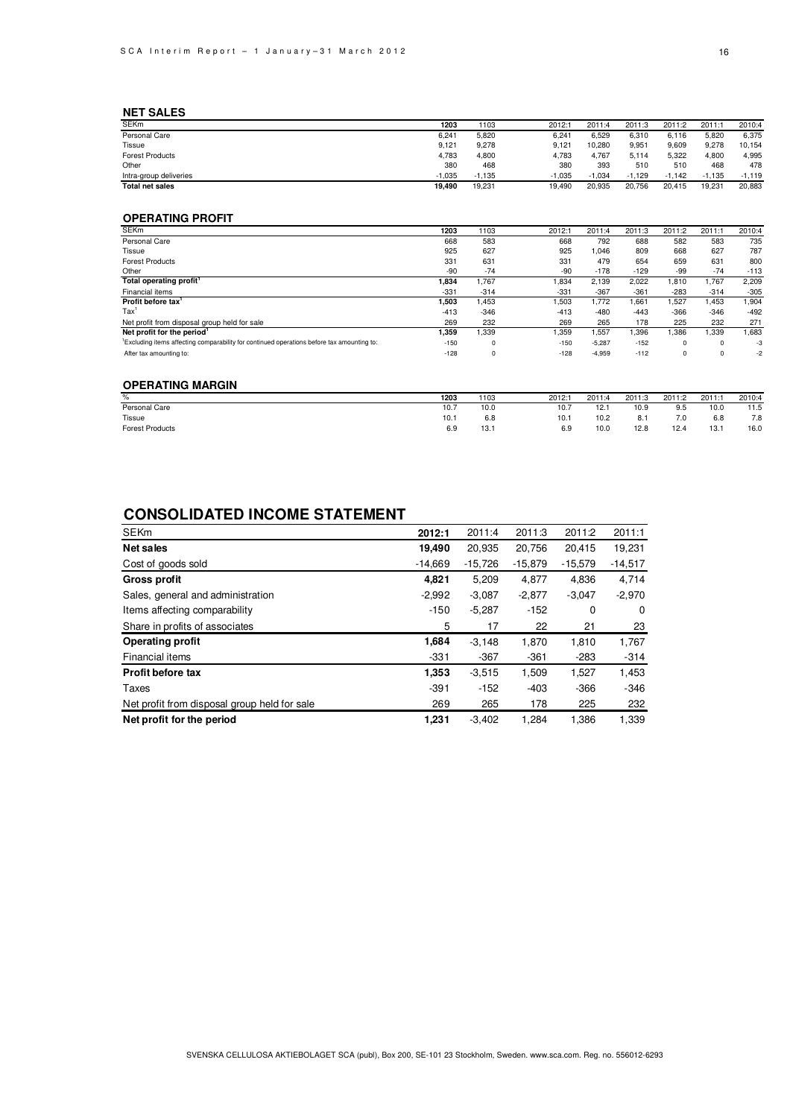| <b>SEKm</b>            | 1203     | 1103     | 2012:1   | 2011:4   | 2011:3 | 2011:2 | 2011:1   | 2010:4   |
|------------------------|----------|----------|----------|----------|--------|--------|----------|----------|
| Personal Care          | 6,241    | 5,820    | 6,241    | 6,529    | 6,310  | 6.116  | 5,820    | 6,375    |
| Tissue                 | 9,121    | 9,278    | 9.121    | 10.280   | 9.951  | 9.609  | 9.278    | 10.154   |
| <b>Forest Products</b> | 4,783    | 4,800    | 4,783    | 4,767    | 5.114  | 5,322  | 4,800    | 4,995    |
| Other                  | 380      | 468      | 380      | 393      | 510    | 510    | 468      | 478      |
| Intra-group deliveries | $-1.035$ | $-1.135$ | $-1.035$ | $-1.034$ | .129   | 142ء،  | $-1.135$ | $-1.119$ |
| <b>Total net sales</b> | 19.490   | 19.231   | 19.490   | 20.935   | 20.756 | 20.415 | 19.231   | 20,883   |
|                        |          |          |          |          |        |        |          |          |

#### **OPERATING PROFIT**

| <b>SEKm</b>                                                                                            | 1203   | 1103   | 2012:1 | 2011:4   | 2011:3 | 2011:2      | 2011:1      | 2010:4 |
|--------------------------------------------------------------------------------------------------------|--------|--------|--------|----------|--------|-------------|-------------|--------|
| Personal Care                                                                                          | 668    | 583    | 668    | 792      | 688    | 582         | 583         | 735    |
| Tissue                                                                                                 | 925    | 627    | 925    | .046     | 809    | 668         | 627         | 787    |
| <b>Forest Products</b>                                                                                 | 331    | 631    | 331    | 479      | 654    | 659         | 631         | 800    |
| Other                                                                                                  | $-90$  | $-74$  | $-90$  | $-178$   | $-129$ | -99         | $-74$       | $-113$ |
| Total operating profit <sup>1</sup>                                                                    | 1,834  | 1.767  | 1.834  | 2.139    | 2.022  | .810        | 1,767       | 2,209  |
| Financial items                                                                                        | $-331$ | $-314$ | $-331$ | $-367$   | $-361$ | $-283$      | $-314$      | $-305$ |
| Profit before tax                                                                                      | 1,503  | 1.453  | 1,503  | 1.772    | .661   | 1.527       | 1,453       | 1,904  |
| Tax                                                                                                    | $-413$ | $-346$ | $-413$ | $-480$   | $-443$ | -366        | $-346$      | $-492$ |
| Net profit from disposal group held for sale                                                           | 269    | 232    | 269    | 265      | 178    | 225         | 232         | 271    |
| Net profit for the period                                                                              | 1,359  | 1,339  | 1,359  | .557     | ,396   | 1,386       | 1,339       | 1,683  |
| <sup>1</sup> Excluding items affecting comparability for continued operations before tax amounting to: | $-150$ | 0      | $-150$ | $-5,287$ | $-152$ | $\mathbf 0$ | $\mathbf 0$ | -3     |
| After tax amounting to:                                                                                | $-128$ | 0      | $-128$ | $-4.959$ | $-112$ | 0           | $\mathbf 0$ | -2     |

#### **OPERATING MARGIN**

| %                      | 1203 | 1103 | 2012:1 | 2011:4 | 2011:3     | 2011:2 | 2011:1 | 2010:4  |
|------------------------|------|------|--------|--------|------------|--------|--------|---------|
| Personal Care          | 10.7 | 10.0 | 10.7   | 12.1   | 10.9       | 9.5    | 10.0   | <br>1.5 |
| Tissue                 | 10.1 | 6.8  | 10.1   | 10.2   | Ö.,        | 7.0    | 6.8    | 7.8     |
| <b>Forest Products</b> | 6.9  | 13.1 | 6.9    | 10.0   | 12.8<br>__ | 12.4   | 13.7   | 16.0    |

# **CONSOLIDATED INCOME STATEMENT**

| <b>SEKm</b>                                  | 2012:1    | 2011:4    | 2011:3    | 2011:2    | 2011:1    |
|----------------------------------------------|-----------|-----------|-----------|-----------|-----------|
| Net sales                                    | 19,490    | 20.935    | 20.756    | 20.415    | 19,231    |
| Cost of goods sold                           | $-14.669$ | $-15,726$ | $-15,879$ | $-15,579$ | $-14,517$ |
| <b>Gross profit</b>                          | 4,821     | 5,209     | 4,877     | 4,836     | 4,714     |
| Sales, general and administration            | $-2,992$  | $-3.087$  | $-2.877$  | $-3,047$  | $-2,970$  |
| Items affecting comparability                | $-150$    | $-5,287$  | $-152$    | 0         | 0         |
| Share in profits of associates               | 5         | 17        | 22        | 21        | 23        |
| <b>Operating profit</b>                      | 1.684     | $-3.148$  | 1,870     | 1,810     | 1,767     |
| Financial items                              | $-331$    | $-367$    | $-361$    | $-283$    | $-314$    |
| <b>Profit before tax</b>                     | 1,353     | $-3,515$  | 1,509     | 1,527     | 1,453     |
| Taxes                                        | $-391$    | $-152$    | -403      | $-366$    | $-346$    |
| Net profit from disposal group held for sale | 269       | 265       | 178       | 225       | 232       |
| Net profit for the period                    | 1,231     | $-3.402$  | 1.284     | 1,386     | 1,339     |